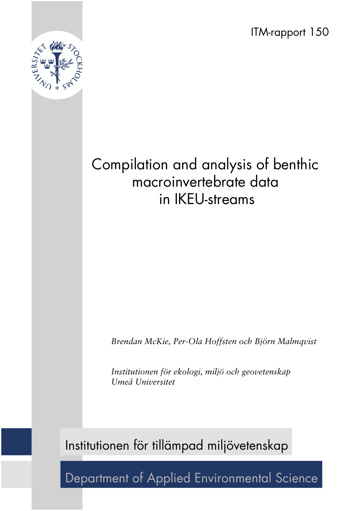ITM-rapport 150



## Compilation and analysis of benthic macroinvertebrate data in IKEU-streams

*Brendan McKie, Per-Ola Hoffsten och Björn Malmqvist*

*Institutionen för ekologi, miljö och geovetenskap Umeå Universitet*

Institutionen för tillämpad miljövetenskap

Department of Applied Environmental Science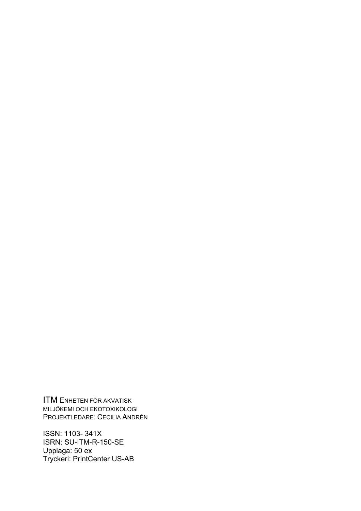ITM ENHETEN FÖR AKVATISK MILJÖKEMI OCH EKOTOXIKOLOGI PROJEKTLEDARE: CECILIA ANDRÉN

ISSN: 1103- 341X ISRN: SU-ITM-R-150-SE Upplaga: 50 ex Tryckeri: PrintCenter US-AB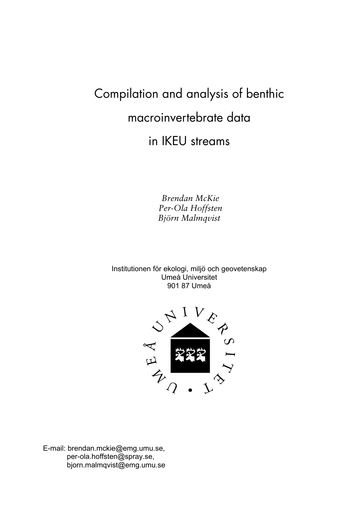# Compilation and analysis of benthic macroinvertebrate data

in IKEU streams

Brendan McKie Per-Ola Hoffsten *\_à∏êå=j~äãèîáëí=*

Institutionen för ekologi, miljö och geovetenskap Umeå Universitet 901 87 Umeå



E-mail: brendan.mckie@emg.umu.se, per-ola.hoffsten@spray.se, bjorn.malmqvist@emg.umu.se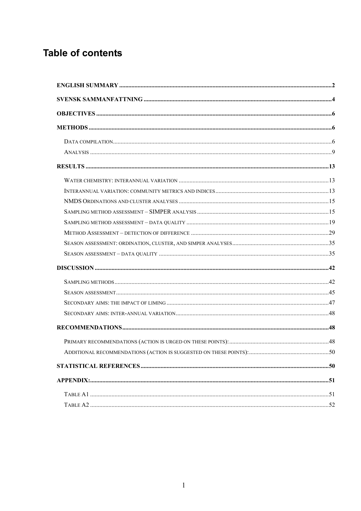## **Table of contents**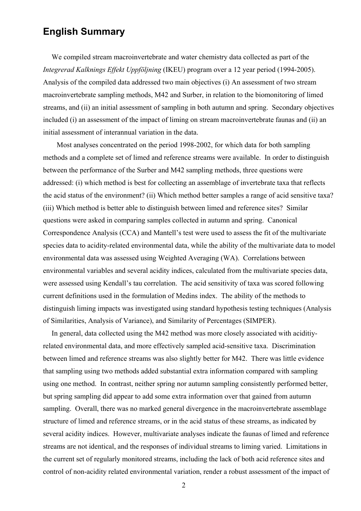## **English Summary**

We compiled stream macroinvertebrate and water chemistry data collected as part of the *Integrerad Kalknings Effekt Uppföljning* (IKEU) program over a 12 year period (1994-2005). Analysis of the compiled data addressed two main objectives (i) An assessment of two stream macroinvertebrate sampling methods, M42 and Surber, in relation to the biomonitoring of limed streams, and (ii) an initial assessment of sampling in both autumn and spring. Secondary objectives included (i) an assessment of the impact of liming on stream macroinvertebrate faunas and (ii) an initial assessment of interannual variation in the data.

Most analyses concentrated on the period 1998-2002, for which data for both sampling methods and a complete set of limed and reference streams were available. In order to distinguish between the performance of the Surber and M42 sampling methods, three questions were addressed: (i) which method is best for collecting an assemblage of invertebrate taxa that reflects the acid status of the environment? (ii) Which method better samples a range of acid sensitive taxa? (iii) Which method is better able to distinguish between limed and reference sites? Similar questions were asked in comparing samples collected in autumn and spring. Canonical Correspondence Analysis (CCA) and Mantell's test were used to assess the fit of the multivariate species data to acidity-related environmental data, while the ability of the multivariate data to model environmental data was assessed using Weighted Averaging (WA). Correlations between environmental variables and several acidity indices, calculated from the multivariate species data, were assessed using Kendall's tau correlation. The acid sensitivity of taxa was scored following current definitions used in the formulation of Medins index. The ability of the methods to distinguish liming impacts was investigated using standard hypothesis testing techniques (Analysis of Similarities, Analysis of Variance), and Similarity of Percentages (SIMPER).

In general, data collected using the M42 method was more closely associated with aciditiyrelated environmental data, and more effectively sampled acid-sensitive taxa. Discrimination between limed and reference streams was also slightly better for M42. There was little evidence that sampling using two methods added substantial extra information compared with sampling using one method. In contrast, neither spring nor autumn sampling consistently performed better, but spring sampling did appear to add some extra information over that gained from autumn sampling. Overall, there was no marked general divergence in the macroinvertebrate assemblage structure of limed and reference streams, or in the acid status of these streams, as indicated by several acidity indices. However, multivariate analyses indicate the faunas of limed and reference streams are not identical, and the responses of individual streams to liming varied. Limitations in the current set of regularly monitored streams, including the lack of both acid reference sites and control of non-acidity related environmental variation, render a robust assessment of the impact of

2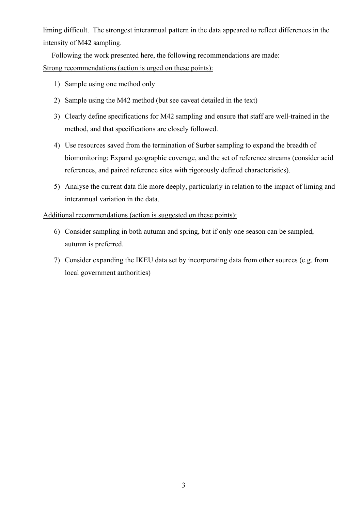liming difficult. The strongest interannual pattern in the data appeared to reflect differences in the intensity of M42 sampling.

Following the work presented here, the following recommendations are made: Strong recommendations (action is urged on these points):

- 1) Sample using one method only
- 2) Sample using the M42 method (but see caveat detailed in the text)
- 3) Clearly define specifications for M42 sampling and ensure that staff are well-trained in the method, and that specifications are closely followed.
- 4) Use resources saved from the termination of Surber sampling to expand the breadth of biomonitoring: Expand geographic coverage, and the set of reference streams (consider acid references, and paired reference sites with rigorously defined characteristics).
- 5) Analyse the current data file more deeply, particularly in relation to the impact of liming and interannual variation in the data.

#### Additional recommendations (action is suggested on these points):

- 6) Consider sampling in both autumn and spring, but if only one season can be sampled, autumn is preferred.
- 7) Consider expanding the IKEU data set by incorporating data from other sources (e.g. from local government authorities)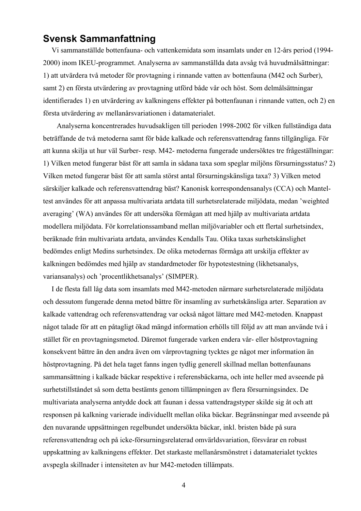## **Svensk Sammanfattning**

Vi sammanställde bottenfauna- och vattenkemidata som insamlats under en 12-års period (1994- 2000) inom IKEU-programmet. Analyserna av sammanställda data avsåg två huvudmålsättningar: 1) att utvärdera två metoder för provtagning i rinnande vatten av bottenfauna (M42 och Surber), samt 2) en första utvärdering av provtagning utförd både vår och höst. Som delmålsättningar identifierades 1) en utvärdering av kalkningens effekter på bottenfaunan i rinnande vatten, och 2) en första utvärdering av mellanårsvariationen i datamaterialet.

Analyserna koncentrerades huvudsakligen till perioden 1998-2002 för vilken fullständiga data beträffande de två metoderna samt för både kalkade och referensvattendrag fanns tillgängliga. För att kunna skilja ut hur väl Surber- resp. M42- metoderna fungerade undersöktes tre frågeställningar: 1) Vilken metod fungerar bäst för att samla in sådana taxa som speglar miljöns försurningsstatus? 2) Vilken metod fungerar bäst för att samla störst antal försurningskänsliga taxa? 3) Vilken metod särskiljer kalkade och referensvattendrag bäst? Kanonisk korrespondensanalys (CCA) och Manteltest användes för att anpassa multivariata artdata till surhetsrelaterade miljödata, medan 'weighted averaging' (WA) användes för att undersöka förmågan att med hjälp av multivariata artdata modellera miljödata. För korrelationssamband mellan miljövariabler och ett flertal surhetsindex, beräknade från multivariata artdata, användes Kendalls Tau. Olika taxas surhetskänslighet bedömdes enligt Medins surhetsindex. De olika metodernas förmåga att urskilja effekter av kalkningen bedömdes med hjälp av standardmetoder för hypotestestning (likhetsanalys, variansanalys) och 'procentlikhetsanalys' (SIMPER).

I de flesta fall låg data som insamlats med M42-metoden närmare surhetsrelaterade miljödata och dessutom fungerade denna metod bättre för insamling av surhetskänsliga arter. Separation av kalkade vattendrag och referensvattendrag var också något lättare med M42-metoden. Knappast något talade för att en påtagligt ökad mängd information erhölls till följd av att man använde två i stället för en provtagningsmetod. Däremot fungerade varken endera vår- eller höstprovtagning konsekvent bättre än den andra även om vårprovtagning tycktes ge något mer information än höstprovtagning. På det hela taget fanns ingen tydlig generell skillnad mellan bottenfaunans sammansättning i kalkade bäckar respektive i referensbäckarna, och inte heller med avseende på surhetstillståndet så som detta bestämts genom tillämpningen av flera försurningsindex. De multivariata analyserna antydde dock att faunan i dessa vattendragstyper skilde sig åt och att responsen på kalkning varierade individuellt mellan olika bäckar. Begränsningar med avseende på den nuvarande uppsättningen regelbundet undersökta bäckar, inkl. bristen både på sura referensvattendrag och på icke-försurningsrelaterad omvärldsvariation, försvårar en robust uppskattning av kalkningens effekter. Det starkaste mellanårsmönstret i datamaterialet tycktes avspegla skillnader i intensiteten av hur M42-metoden tillämpats.

4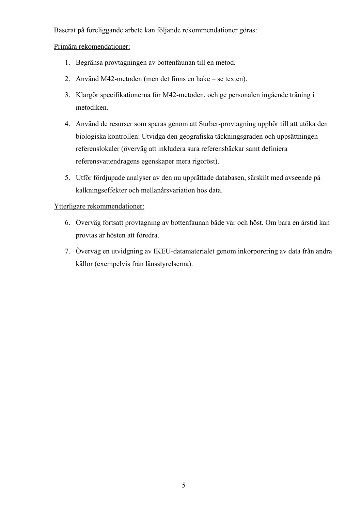Baserat på föreliggande arbete kan följande rekommendationer göras:

Primära rekomendationer:

- 1. Begränsa provtagningen av bottenfaunan till en metod.
- 2. Använd M42-metoden (men det finns en hake se texten).
- 3. Klargör specifikationerna för M42-metoden, och ge personalen ingående träning i metodiken.
- 4. Använd de resurser som sparas genom att Surber-provtagning upphör till att utöka den biologiska kontrollen: Utvidga den geografiska täckningsgraden och uppsättningen referenslokaler (överväg att inkludera sura referensbäckar samt definiera referensvattendragens egenskaper mera rigoröst).
- 5. Utför fördjupade analyser av den nu upprättade databasen, särskilt med avseende på kalkningseffekter och mellanårsvariation hos data.

#### Ytterligare rekommendationer:

- 6. Överväg fortsatt provtagning av bottenfaunan både vår och höst. Om bara en årstid kan provtas är hösten att föredra.
- 7. Överväg en utvidgning av IKEU-datamaterialet genom inkorporering av data från andra källor (exempelvis från länsstyrelserna).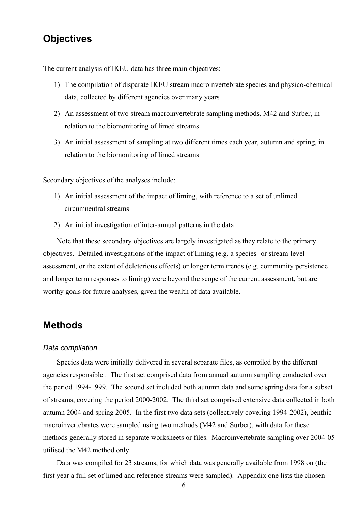## **Objectives**

The current analysis of IKEU data has three main objectives:

- 1) The compilation of disparate IKEU stream macroinvertebrate species and physico-chemical data, collected by different agencies over many years
- 2) An assessment of two stream macroinvertebrate sampling methods, M42 and Surber, in relation to the biomonitoring of limed streams
- 3) An initial assessment of sampling at two different times each year, autumn and spring, in relation to the biomonitoring of limed streams

Secondary objectives of the analyses include:

- 1) An initial assessment of the impact of liming, with reference to a set of unlimed circumneutral streams
- 2) An initial investigation of inter-annual patterns in the data

Note that these secondary objectives are largely investigated as they relate to the primary objectives. Detailed investigations of the impact of liming (e.g. a species- or stream-level assessment, or the extent of deleterious effects) or longer term trends (e.g. community persistence and longer term responses to liming) were beyond the scope of the current assessment, but are worthy goals for future analyses, given the wealth of data available.

## **Methods**

#### *Data compilation*

Species data were initially delivered in several separate files, as compiled by the different agencies responsible . The first set comprised data from annual autumn sampling conducted over the period 1994-1999. The second set included both autumn data and some spring data for a subset of streams, covering the period 2000-2002. The third set comprised extensive data collected in both autumn 2004 and spring 2005. In the first two data sets (collectively covering 1994-2002), benthic macroinvertebrates were sampled using two methods (M42 and Surber), with data for these methods generally stored in separate worksheets or files. Macroinvertebrate sampling over 2004-05 utilised the M42 method only.

Data was compiled for 23 streams, for which data was generally available from 1998 on (the first year a full set of limed and reference streams were sampled). Appendix one lists the chosen

6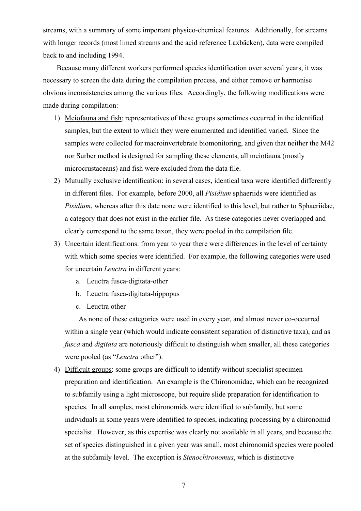streams, with a summary of some important physico-chemical features. Additionally, for streams with longer records (most limed streams and the acid reference Laxbäcken), data were compiled back to and including 1994.

Because many different workers performed species identification over several years, it was necessary to screen the data during the compilation process, and either remove or harmonise obvious inconsistencies among the various files. Accordingly, the following modifications were made during compilation:

- 1) Meiofauna and fish: representatives of these groups sometimes occurred in the identified samples, but the extent to which they were enumerated and identified varied. Since the samples were collected for macroinvertebrate biomonitoring, and given that neither the M42 nor Surber method is designed for sampling these elements, all meiofauna (mostly microcrustaceans) and fish were excluded from the data file.
- 2) Mutually exclusive identification: in several cases, identical taxa were identified differently in different files. For example, before 2000, all *Pisidium* sphaeriids were identified as *Pisidium*, whereas after this date none were identified to this level, but rather to Sphaeriidae, a category that does not exist in the earlier file. As these categories never overlapped and clearly correspond to the same taxon, they were pooled in the compilation file.
- 3) Uncertain identifications: from year to year there were differences in the level of certainty with which some species were identified. For example, the following categories were used for uncertain *Leuctra* in different years:
	- a. Leuctra fusca-digitata-other
	- b. Leuctra fusca-digitata-hippopus
	- c. Leuctra other

As none of these categories were used in every year, and almost never co-occurred within a single year (which would indicate consistent separation of distinctive taxa), and as *fusca* and *digitata* are notoriously difficult to distinguish when smaller, all these categories were pooled (as "*Leuctra* other").

4) Difficult groups: some groups are difficult to identify without specialist specimen preparation and identification. An example is the Chironomidae, which can be recognized to subfamily using a light microscope, but require slide preparation for identification to species. In all samples, most chironomids were identified to subfamily, but some individuals in some years were identified to species, indicating processing by a chironomid specialist. However, as this expertise was clearly not available in all years, and because the set of species distinguished in a given year was small, most chironomid species were pooled at the subfamily level. The exception is *Stenochironomus*, which is distinctive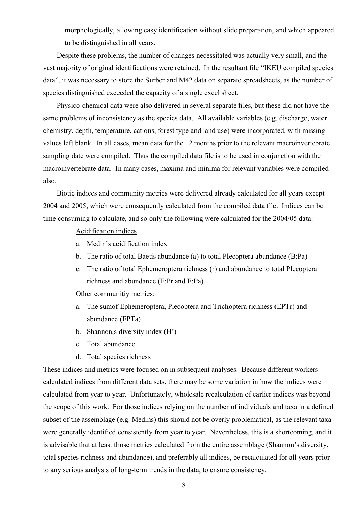morphologically, allowing easy identification without slide preparation, and which appeared to be distinguished in all years.

Despite these problems, the number of changes necessitated was actually very small, and the vast majority of original identifications were retained. In the resultant file "IKEU compiled species data", it was necessary to store the Surber and M42 data on separate spreadsheets, as the number of species distinguished exceeded the capacity of a single excel sheet.

Physico-chemical data were also delivered in several separate files, but these did not have the same problems of inconsistency as the species data. All available variables (e.g. discharge, water chemistry, depth, temperature, cations, forest type and land use) were incorporated, with missing values left blank. In all cases, mean data for the 12 months prior to the relevant macroinvertebrate sampling date were compiled. Thus the compiled data file is to be used in conjunction with the macroinvertebrate data. In many cases, maxima and minima for relevant variables were compiled also.

Biotic indices and community metrics were delivered already calculated for all years except 2004 and 2005, which were consequently calculated from the compiled data file. Indices can be time consuming to calculate, and so only the following were calculated for the 2004/05 data:

#### Acidification indices

- a. Medin's acidification index
- b. The ratio of total Baetis abundance (a) to total Plecoptera abundance (B:Pa)
- c. The ratio of total Ephemeroptera richness (r) and abundance to total Plecoptera richness and abundance (E:Pr and E:Pa)

Other communitiy metrics:

- a. The sumof Ephemeroptera, Plecoptera and Trichoptera richness (EPTr) and abundance (EPTa)
- b. Shannon,s diversity index (H')
- c. Total abundance
- d. Total species richness

These indices and metrics were focused on in subsequent analyses. Because different workers calculated indices from different data sets, there may be some variation in how the indices were calculated from year to year. Unfortunately, wholesale recalculation of earlier indices was beyond the scope of this work. For those indices relying on the number of individuals and taxa in a defined subset of the assemblage (e.g. Medins) this should not be overly problematical, as the relevant taxa were generally identified consistently from year to year. Nevertheless, this is a shortcoming, and it is advisable that at least those metrics calculated from the entire assemblage (Shannon's diversity, total species richness and abundance), and preferably all indices, be recalculated for all years prior to any serious analysis of long-term trends in the data, to ensure consistency.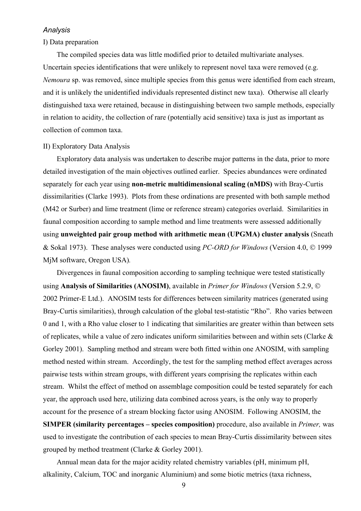#### *Analysis*

#### I) Data preparation

The compiled species data was little modified prior to detailed multivariate analyses. Uncertain species identifications that were unlikely to represent novel taxa were removed (e.g. *Nemoura* sp. was removed, since multiple species from this genus were identified from each stream, and it is unlikely the unidentified individuals represented distinct new taxa). Otherwise all clearly distinguished taxa were retained, because in distinguishing between two sample methods, especially in relation to acidity, the collection of rare (potentially acid sensitive) taxa is just as important as collection of common taxa.

#### II) Exploratory Data Analysis

Exploratory data analysis was undertaken to describe major patterns in the data, prior to more detailed investigation of the main objectives outlined earlier. Species abundances were ordinated separately for each year using **non-metric multidimensional scaling (nMDS)** with Bray-Curtis dissimilarities (Clarke 1993). Plots from these ordinations are presented with both sample method (M42 or Surber) and lime treatment (lime or reference stream) categories overlaid. Similarities in faunal composition according to sample method and lime treatments were assessed additionally using **unweighted pair group method with arithmetic mean (UPGMA) cluster analysis** (Sneath & Sokal 1973). These analyses were conducted using *PC-ORD for Windows* (Version 4.0, © 1999 MjM software, Oregon USA)*.* 

Divergences in faunal composition according to sampling technique were tested statistically using **Analysis of Similarities (ANOSIM)**, available in *Primer for Windows* (Version 5.2.9, © 2002 Primer-E Ltd.). ANOSIM tests for differences between similarity matrices (generated using Bray-Curtis similarities), through calculation of the global test-statistic "Rho". Rho varies between 0 and 1, with a Rho value closer to 1 indicating that similarities are greater within than between sets of replicates, while a value of zero indicates uniform similarities between and within sets (Clarke & Gorley 2001). Sampling method and stream were both fitted within one ANOSIM, with sampling method nested within stream. Accordingly, the test for the sampling method effect averages across pairwise tests within stream groups, with different years comprising the replicates within each stream. Whilst the effect of method on assemblage composition could be tested separately for each year, the approach used here, utilizing data combined across years, is the only way to properly account for the presence of a stream blocking factor using ANOSIM. Following ANOSIM, the

**SIMPER (similarity percentages – species composition)** procedure, also available in *Primer,* was used to investigate the contribution of each species to mean Bray-Curtis dissimilarity between sites grouped by method treatment (Clarke & Gorley 2001).

Annual mean data for the major acidity related chemistry variables (pH, minimum pH, alkalinity, Calcium, TOC and inorganic Aluminium) and some biotic metrics (taxa richness,

9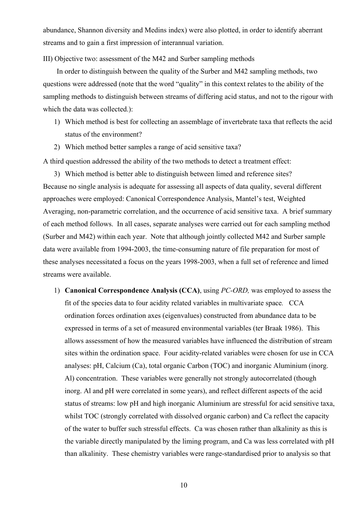abundance, Shannon diversity and Medins index) were also plotted, in order to identify aberrant streams and to gain a first impression of interannual variation.

III) Objective two: assessment of the M42 and Surber sampling methods

In order to distinguish between the quality of the Surber and M42 sampling methods, two questions were addressed (note that the word "quality" in this context relates to the ability of the sampling methods to distinguish between streams of differing acid status, and not to the rigour with which the data was collected.):

- 1) Which method is best for collecting an assemblage of invertebrate taxa that reflects the acid status of the environment?
- 2) Which method better samples a range of acid sensitive taxa?

A third question addressed the ability of the two methods to detect a treatment effect:

3) Which method is better able to distinguish between limed and reference sites? Because no single analysis is adequate for assessing all aspects of data quality, several different approaches were employed: Canonical Correspondence Analysis, Mantel's test, Weighted Averaging, non-parametric correlation, and the occurrence of acid sensitive taxa. A brief summary of each method follows. In all cases, separate analyses were carried out for each sampling method (Surber and M42) within each year. Note that although jointly collected M42 and Surber sample data were available from 1994-2003, the time-consuming nature of file preparation for most of these analyses necessitated a focus on the years 1998-2003, when a full set of reference and limed streams were available.

1) **Canonical Correspondence Analysis (CCA)**, using *PC-ORD,* was employed to assess the fit of the species data to four acidity related variables in multivariate space*.* CCA ordination forces ordination axes (eigenvalues) constructed from abundance data to be expressed in terms of a set of measured environmental variables (ter Braak 1986). This allows assessment of how the measured variables have influenced the distribution of stream sites within the ordination space. Four acidity-related variables were chosen for use in CCA analyses: pH, Calcium (Ca), total organic Carbon (TOC) and inorganic Aluminium (inorg. Al) concentration. These variables were generally not strongly autocorrelated (though inorg. Al and pH were correlated in some years), and reflect different aspects of the acid status of streams: low pH and high inorganic Aluminium are stressful for acid sensitive taxa, whilst TOC (strongly correlated with dissolved organic carbon) and Ca reflect the capacity of the water to buffer such stressful effects. Ca was chosen rather than alkalinity as this is the variable directly manipulated by the liming program, and Ca was less correlated with pH than alkalinity. These chemistry variables were range-standardised prior to analysis so that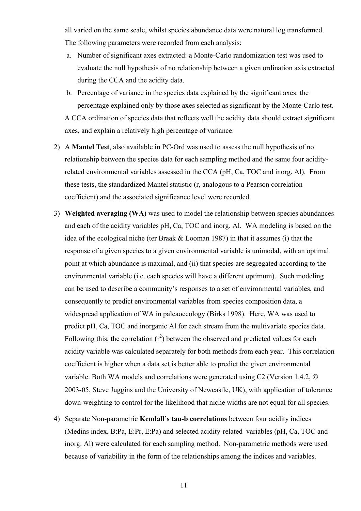all varied on the same scale, whilst species abundance data were natural log transformed. The following parameters were recorded from each analysis:

- a. Number of significant axes extracted: a Monte-Carlo randomization test was used to evaluate the null hypothesis of no relationship between a given ordination axis extracted during the CCA and the acidity data.
- b. Percentage of variance in the species data explained by the significant axes: the percentage explained only by those axes selected as significant by the Monte-Carlo test. A CCA ordination of species data that reflects well the acidity data should extract significant axes, and explain a relatively high percentage of variance.
- 2) A **Mantel Test**, also available in PC-Ord was used to assess the null hypothesis of no relationship between the species data for each sampling method and the same four acidityrelated environmental variables assessed in the CCA (pH, Ca, TOC and inorg. Al). From these tests, the standardized Mantel statistic (r, analogous to a Pearson correlation coefficient) and the associated significance level were recorded.
- 3) **Weighted averaging (WA)** was used to model the relationship between species abundances and each of the acidity variables pH, Ca, TOC and inorg. Al. WA modeling is based on the idea of the ecological niche (ter Braak & Looman 1987) in that it assumes (i) that the response of a given species to a given environmental variable is unimodal, with an optimal point at which abundance is maximal, and (ii) that species are segregated according to the environmental variable (i.e. each species will have a different optimum). Such modeling can be used to describe a community's responses to a set of environmental variables, and consequently to predict environmental variables from species composition data, a widespread application of WA in paleaoecology (Birks 1998). Here, WA was used to predict pH, Ca, TOC and inorganic Al for each stream from the multivariate species data. Following this, the correlation  $(r^2)$  between the observed and predicted values for each acidity variable was calculated separately for both methods from each year. This correlation coefficient is higher when a data set is better able to predict the given environmental variable. Both WA models and correlations were generated using C2 (Version 1.4.2, © 2003-05, Steve Juggins and the University of Newcastle, UK), with application of tolerance down-weighting to control for the likelihood that niche widths are not equal for all species.
- 4) Separate Non-parametric **Kendall's tau-b correlations** between four acidity indices (Medins index, B:Pa, E:Pr, E:Pa) and selected acidity-related variables (pH, Ca, TOC and inorg. Al) were calculated for each sampling method. Non-parametric methods were used because of variability in the form of the relationships among the indices and variables.

11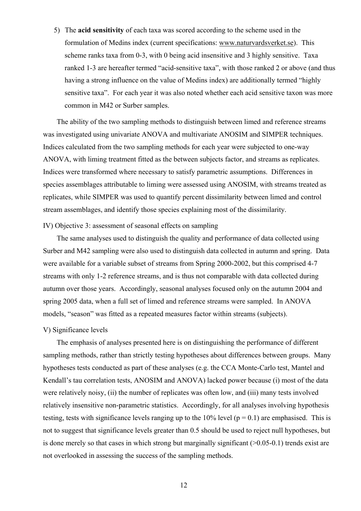5) The **acid sensitivity** of each taxa was scored according to the scheme used in the formulation of Medins index (current specifications: www.naturvardsverket.se). This scheme ranks taxa from 0-3, with 0 being acid insensitive and 3 highly sensitive. Taxa ranked 1-3 are hereafter termed "acid-sensitive taxa", with those ranked 2 or above (and thus having a strong influence on the value of Medins index) are additionally termed "highly sensitive taxa". For each year it was also noted whether each acid sensitive taxon was more common in M42 or Surber samples.

The ability of the two sampling methods to distinguish between limed and reference streams was investigated using univariate ANOVA and multivariate ANOSIM and SIMPER techniques. Indices calculated from the two sampling methods for each year were subjected to one-way ANOVA, with liming treatment fitted as the between subjects factor, and streams as replicates. Indices were transformed where necessary to satisfy parametric assumptions. Differences in species assemblages attributable to liming were assessed using ANOSIM, with streams treated as replicates, while SIMPER was used to quantify percent dissimilarity between limed and control stream assemblages, and identify those species explaining most of the dissimilarity.

#### IV) Objective 3: assessment of seasonal effects on sampling

The same analyses used to distinguish the quality and performance of data collected using Surber and M42 sampling were also used to distinguish data collected in autumn and spring. Data were available for a variable subset of streams from Spring 2000-2002, but this comprised 4-7 streams with only 1-2 reference streams, and is thus not comparable with data collected during autumn over those years. Accordingly, seasonal analyses focused only on the autumn 2004 and spring 2005 data, when a full set of limed and reference streams were sampled. In ANOVA models, "season" was fitted as a repeated measures factor within streams (subjects).

#### V) Significance levels

The emphasis of analyses presented here is on distinguishing the performance of different sampling methods, rather than strictly testing hypotheses about differences between groups. Many hypotheses tests conducted as part of these analyses (e.g. the CCA Monte-Carlo test, Mantel and Kendall's tau correlation tests, ANOSIM and ANOVA) lacked power because (i) most of the data were relatively noisy, (ii) the number of replicates was often low, and (iii) many tests involved relatively insensitive non-parametric statistics. Accordingly, for all analyses involving hypothesis testing, tests with significance levels ranging up to the  $10\%$  level ( $p = 0.1$ ) are emphasised. This is not to suggest that significance levels greater than 0.5 should be used to reject null hypotheses, but is done merely so that cases in which strong but marginally significant  $(0.05-0.1)$  trends exist are not overlooked in assessing the success of the sampling methods.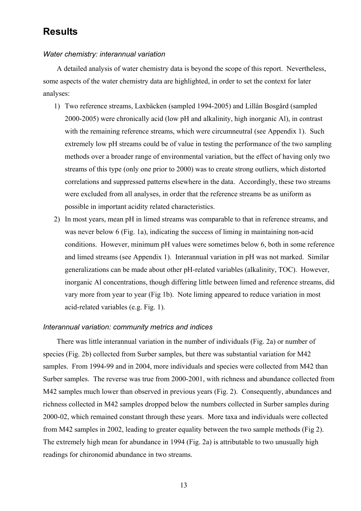## **Results**

#### *Water chemistry: interannual variation*

A detailed analysis of water chemistry data is beyond the scope of this report. Nevertheless, some aspects of the water chemistry data are highlighted, in order to set the context for later analyses:

- 1) Two reference streams, Laxbäcken (sampled 1994-2005) and Lillån Bosgård (sampled 2000-2005) were chronically acid (low pH and alkalinity, high inorganic Al), in contrast with the remaining reference streams, which were circumneutral (see Appendix 1). Such extremely low pH streams could be of value in testing the performance of the two sampling methods over a broader range of environmental variation, but the effect of having only two streams of this type (only one prior to 2000) was to create strong outliers, which distorted correlations and suppressed patterns elsewhere in the data. Accordingly, these two streams were excluded from all analyses, in order that the reference streams be as uniform as possible in important acidity related characteristics.
- 2) In most years, mean pH in limed streams was comparable to that in reference streams, and was never below 6 (Fig. 1a), indicating the success of liming in maintaining non-acid conditions. However, minimum pH values were sometimes below 6, both in some reference and limed streams (see Appendix 1). Interannual variation in pH was not marked. Similar generalizations can be made about other pH-related variables (alkalinity, TOC). However, inorganic Al concentrations, though differing little between limed and reference streams, did vary more from year to year (Fig 1b). Note liming appeared to reduce variation in most acid-related variables (e.g. Fig. 1).

#### *Interannual variation: community metrics and indices*

There was little interannual variation in the number of individuals (Fig. 2a) or number of species (Fig. 2b) collected from Surber samples, but there was substantial variation for M42 samples. From 1994-99 and in 2004, more individuals and species were collected from M42 than Surber samples. The reverse was true from 2000-2001, with richness and abundance collected from M42 samples much lower than observed in previous years (Fig. 2). Consequently, abundances and richness collected in M42 samples dropped below the numbers collected in Surber samples during 2000-02, which remained constant through these years. More taxa and individuals were collected from M42 samples in 2002, leading to greater equality between the two sample methods (Fig 2). The extremely high mean for abundance in 1994 (Fig. 2a) is attributable to two unusually high readings for chironomid abundance in two streams.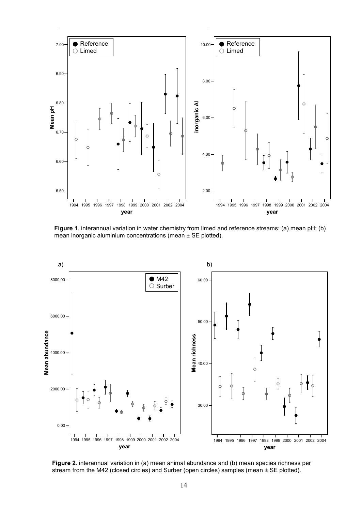

**Figure 1**. interannual variation in water chemistry from limed and reference streams: (a) mean pH; (b) mean inorganic aluminium concentrations (mean ± SE plotted).



**Figure 2**. interannual variation in (a) mean animal abundance and (b) mean species richness per stream from the M42 (closed circles) and Surber (open circles) samples (mean ± SE plotted).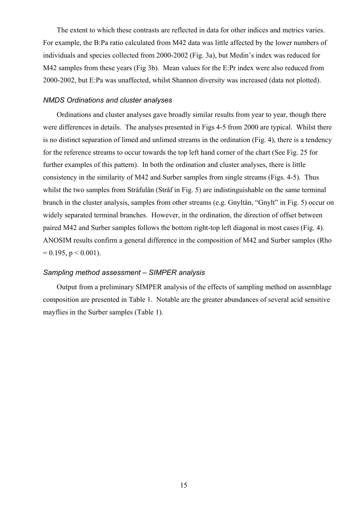The extent to which these contrasts are reflected in data for other indices and metrics varies. For example, the B:Pa ratio calculated from M42 data was little affected by the lower numbers of individuals and species collected from 2000-2002 (Fig. 3a), but Medin's index was reduced for M42 samples from these years (Fig 3b). Mean values for the E:Pr index were also reduced from 2000-2002, but E:Pa was unaffected, whilst Shannon diversity was increased (data not plotted).

#### *NMDS Ordinations and cluster analyses*

Ordinations and cluster analyses gave broadly similar results from year to year, though there were differences in details. The analyses presented in Figs 4-5 from 2000 are typical. Whilst there is no distinct separation of limed and unlimed streams in the ordination (Fig. 4), there is a tendency for the reference streams to occur towards the top left hand corner of the chart (See Fig. 25 for further examples of this pattern). In both the ordination and cluster analyses, there is little consistency in the similarity of M42 and Surber samples from single streams (Figs. 4-5). Thus whilst the two samples from Stråfulån (Stråf in Fig. 5) are indistinguishable on the same terminal branch in the cluster analysis, samples from other streams (e.g. Gnyltån, "Gnylt" in Fig. 5) occur on widely separated terminal branches. However, in the ordination, the direction of offset between paired M42 and Surber samples follows the bottom right-top left diagonal in most cases (Fig. 4). ANOSIM results confirm a general difference in the composition of M42 and Surber samples (Rho  $= 0.195$ ,  $p < 0.001$ ).

#### *Sampling method assessment – SIMPER analysis*

Output from a preliminary SIMPER analysis of the effects of sampling method on assemblage composition are presented in Table 1. Notable are the greater abundances of several acid sensitive mayflies in the Surber samples (Table 1).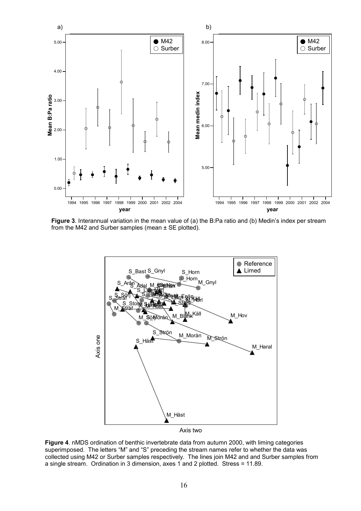

**Figure 3**. Interannual variation in the mean value of (a) the B:Pa ratio and (b) Medin's index per stream from the M42 and Surber samples (mean  $\pm$  SE plotted).



**Figure 4**. nMDS ordination of benthic invertebrate data from autumn 2000, with liming categories superimposed. The letters "M" and "S" preceding the stream names refer to whether the data was collected using M42 or Surber samples respectively. The lines join M42 and and Surber samples from a single stream. Ordination in 3 dimension, axes 1 and 2 plotted. Stress = 11.89.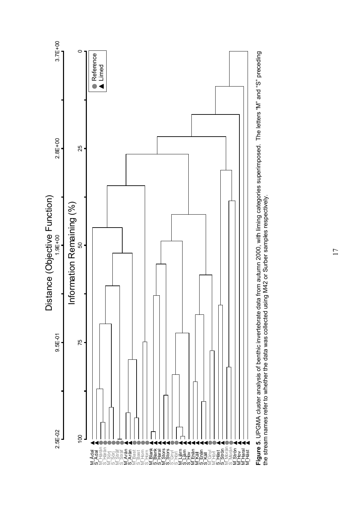

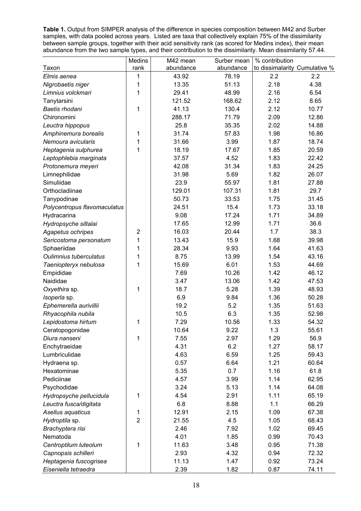**Table 1.** Output from SIMPER analysis of the difference in species composition between M42 and Surber samples, with data pooled across years. Listed are taxa that collectively explain 75% of the dissimilarity between sample groups, together with their acid sensitivity rank (as scored for Medins index), their mean abundance from the two sample types, and their contribution to the dissimilarity. Mean dissimilarity 57.44.

|                              | Medins         | M42 mean  | Surber mean | % contribution                |       |
|------------------------------|----------------|-----------|-------------|-------------------------------|-------|
| Taxon                        | rank           | abundance | abundance   | to dissimalarity Cumulative % |       |
| Elmis aenea                  | 1              | 43.92     | 78.19       | 2.2                           | 2.2   |
| Nigrobaetis niger            | 1              | 13.35     | 51.13       | 2.18                          | 4.38  |
| Limnius volckmari            | 1              | 29.41     | 48.99       | 2.16                          | 6.54  |
| Tanytarsini                  |                | 121.52    | 168.62      | 2.12                          | 8.65  |
| Baetis rhodani               | 1              | 41.13     | 130.4       | 2.12                          | 10.77 |
| Chironomini                  |                | 288.17    | 71.79       | 2.09                          | 12.86 |
| Leuctra hippopus             |                | 25.8      | 35.35       | 2.02                          | 14.88 |
| Amphinemura borealis         | 1              | 31.74     | 57.83       | 1.98                          | 16.86 |
| Nemoura avicularis           | 1              | 31.66     | 3.99        | 1.87                          | 18.74 |
| Heptagenia sulphurea         | 1              | 18.19     | 17.67       | 1.85                          | 20.59 |
| Leptophlebia marginata       |                | 37.57     | 4.52        | 1.83                          | 22.42 |
| Protonemura meyeri           |                | 42.08     | 31.34       | 1.83                          | 24.25 |
| Limnephilidae                |                | 31.98     | 5.69        | 1.82                          | 26.07 |
| Simuliidae                   |                | 23.9      | 55.97       | 1.81                          | 27.88 |
| Orthocladiinae               |                | 129.01    | 107.31      | 1.81                          | 29.7  |
| Tanypodinae                  |                | 50.73     | 33.53       | 1.75                          | 31.45 |
| Polycentropus flavomaculatus |                | 24.51     | 15.4        | 1.73                          | 33.18 |
| Hydracarina                  |                | 9.08      | 17.24       | 1.71                          | 34.89 |
| Hydropsyche siltalai         |                | 17.65     | 12.99       | 1.71                          | 36.6  |
| Agapetus ochripes            | $\overline{2}$ | 16.03     | 20.44       | 1.7                           | 38.3  |
| Sericostoma personatum       | 1              | 13.43     | 15.9        | 1.68                          | 39.98 |
| Sphaeriidae                  | 1              | 28.34     | 9.93        | 1.64                          | 41.63 |
| Oulimnius tuberculatus       | 1              | 8.75      | 13.99       | 1.54                          | 43.16 |
| Taeniopteryx nebulosa        | 1              | 15.69     | 6.01        | 1.53                          | 44.69 |
| Empididae                    |                | 7.69      | 10.26       | 1.42                          | 46.12 |
| Naididae                     |                | 3.47      | 13.06       | 1.42                          | 47.53 |
| Oxyethira sp.                | 1              | 18.7      | 5.28        | 1.39                          | 48.93 |
| Isoperla sp.                 |                | 6.9       | 9.84        | 1.36                          | 50.28 |
| Ephemerella aurivillii       |                | 19.2      | 5.2         | 1.35                          | 51.63 |
| Rhyacophila nubila           |                | 10.5      | 6.3         | 1.35                          | 52.98 |
| Lepidostoma hirtum           | 1              | 7.29      | 10.56       | 1.33                          | 54.32 |
| Ceratopogonidae              |                | 10.64     | 9.22        | 1.3                           | 55.61 |
| Diura nanseni                | 1              | 7.55      | 2.97        | 1.29                          | 56.9  |
| Enchytraeidae                |                | 4.31      | 6.2         | 1.27                          | 58.17 |
| Lumbriculidae                |                | 4.63      | 6.59        | 1.25                          | 59.43 |
| Hydraena sp.                 |                | 0.57      | 6.64        | 1.21                          | 60.64 |
| Hexatominae                  |                | 5.35      | 0.7         | 1.16                          | 61.8  |
| Pediciinae                   |                | 4.57      | 3.99        | 1.14                          | 62.95 |
| Psychodidae                  |                | 3.24      | 5.13        | 1.14                          | 64.08 |
| Hydropsyche pellucidula      | 1              | 4.54      | 2.91        | 1.11                          | 65.19 |
| Leuctra fusca/digitata       |                | 6.8       | 8.88        | 1.1                           | 66.29 |
| Asellus aquaticus            | 1              | 12.91     | 2.15        | 1.09                          | 67.38 |
| Hydroptila sp.               | $\overline{c}$ | 21.55     | 4.5         | 1.05                          | 68.43 |
| Brachyptera risi             |                | 2.46      | 7.92        | 1.02                          | 69.45 |
| Nematoda                     |                | 4.01      | 1.85        | 0.99                          | 70.43 |
| Centroptilum luteolum        | 1              | 11.63     | 3.48        | 0.95                          | 71.38 |
| Capnopsis schilleri          |                | 2.93      | 4.32        | 0.94                          | 72.32 |
| Heptagenia fuscogrisea       |                | 11.13     | 1.47        | 0.92                          | 73.24 |
| Eiseniella tetraedra         |                | 2.39      | 1.82        | 0.87                          | 74.11 |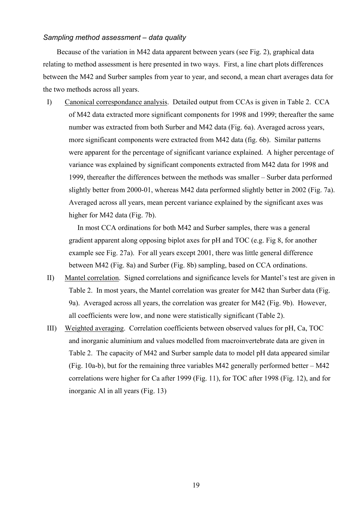#### *Sampling method assessment – data quality*

Because of the variation in M42 data apparent between years (see Fig. 2), graphical data relating to method assessment is here presented in two ways. First, a line chart plots differences between the M42 and Surber samples from year to year, and second, a mean chart averages data for the two methods across all years.

I) Canonical correspondance analysis. Detailed output from CCAs is given in Table 2. CCA of M42 data extracted more significant components for 1998 and 1999; thereafter the same number was extracted from both Surber and M42 data (Fig. 6a). Averaged across years, more significant components were extracted from M42 data (fig. 6b). Similar patterns were apparent for the percentage of significant variance explained. A higher percentage of variance was explained by significant components extracted from M42 data for 1998 and 1999, thereafter the differences between the methods was smaller – Surber data performed slightly better from 2000-01, whereas M42 data performed slightly better in 2002 (Fig. 7a). Averaged across all years, mean percent variance explained by the significant axes was higher for M42 data (Fig. 7b).

In most CCA ordinations for both M42 and Surber samples, there was a general gradient apparent along opposing biplot axes for pH and TOC (e.g. Fig 8, for another example see Fig. 27a). For all years except 2001, there was little general difference between M42 (Fig. 8a) and Surber (Fig. 8b) sampling, based on CCA ordinations.

- II) Mantel correlation. Signed correlations and significance levels for Mantel's test are given in Table 2. In most years, the Mantel correlation was greater for M42 than Surber data (Fig. 9a). Averaged across all years, the correlation was greater for M42 (Fig. 9b). However, all coefficients were low, and none were statistically significant (Table 2).
- III) Weighted averaging. Correlation coefficients between observed values for pH, Ca, TOC and inorganic aluminium and values modelled from macroinvertebrate data are given in Table 2. The capacity of M42 and Surber sample data to model pH data appeared similar (Fig. 10a-b), but for the remaining three variables M42 generally performed better – M42 correlations were higher for Ca after 1999 (Fig. 11), for TOC after 1998 (Fig. 12), and for inorganic Al in all years (Fig. 13)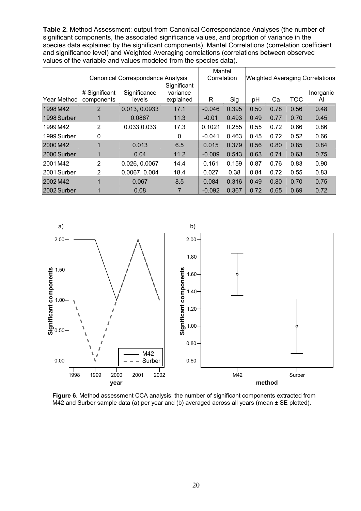**Table 2**. Method Assessment: output from Canonical Correspondance Analyses (the number of significant components, the associated significance values, and proprtion of variance in the species data explained by the significant components), Mantel Correlations (correlation coefficient and significance level) and Weighted Averaging correlations (correlations between observed values of the variable and values modeled from the species data).

|             |               |                                          | Mantel    |             |       |      |      |            |                                        |
|-------------|---------------|------------------------------------------|-----------|-------------|-------|------|------|------------|----------------------------------------|
|             |               | <b>Canonical Correspondance Analysis</b> |           | Correlation |       |      |      |            | <b>Weighted Averaging Correlations</b> |
|             |               |                                          |           |             |       |      |      |            |                                        |
|             | # Significant | Significance                             | variance  |             |       |      |      |            | Inorganic                              |
| Year Method | components    | levels                                   | explained | R           | Sig   | рH   | Сa   | <b>TOC</b> | AI                                     |
| 1998 M42    | 2             | 0.013, 0.0933                            | 17.1      | $-0.046$    | 0.395 | 0.50 | 0.78 | 0.56       | 0.48                                   |
| 1998 Surber | 1             | 0.0867                                   | 11.3      | $-0.01$     | 0.493 | 0.49 | 0.77 | 0.70       | 0.45                                   |
| 1999 M42    | 2             | 0.033,0.033                              | 17.3      | 0.1021      | 0.255 | 0.55 | 0.72 | 0.66       | 0.86                                   |
| 1999 Surber | 0             |                                          | 0         | $-0.041$    | 0.463 | 0.45 | 0.72 | 0.52       | 0.66                                   |
| 2000 M42    | 1             | 0.013                                    | 6.5       | 0.015       | 0.379 | 0.56 | 0.80 | 0.85       | 0.84                                   |
| 2000 Surber | 1             | 0.04                                     | 11.2      | $-0.009$    | 0.543 | 0.63 | 0.71 | 0.63       | 0.75                                   |
| 2001M42     | 2             | 0.026, 0.0067                            | 14.4      | 0.161       | 0.159 | 0.87 | 0.76 | 0.83       | 0.90                                   |
| 2001 Surber | 2             | 0.0067, 0.004                            | 18.4      | 0.027       | 0.38  | 0.84 | 0.72 | 0.55       | 0.83                                   |
| 2002 M42    | 1             | 0.067                                    | 8.5       | 0.084       | 0.316 | 0.49 | 0.80 | 0.70       | 0.75                                   |
| 2002 Surber |               | 0.08                                     |           | $-0.092$    | 0.367 | 0.72 | 0.65 | 0.69       | 0.72                                   |



**Figure 6**. Method assessment CCA analysis: the number of significant components extracted from M42 and Surber sample data (a) per year and (b) averaged across all years (mean  $\pm$  SE plotted).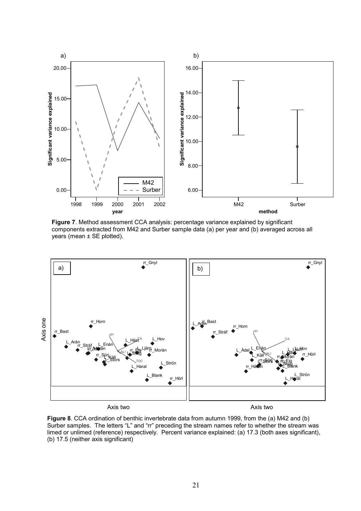

**Figure 7**. Method assessment CCA analysis: percentage variance explained by significant components extracted from M42 and Surber sample data (a) per year and (b) averaged across all years (mean ± SE plotted).



**Figure 8**. CCA ordination of benthic invertebrate data from autumn 1999, from the (a) M42 and (b) Surber samples. The letters "L" and "rr" preceding the stream names refer to whether the stream was limed or unlimed (reference) respectively. Percent variance explained: (a) 17.3 (both axes significant), (b) 17.5 (neither axis significant)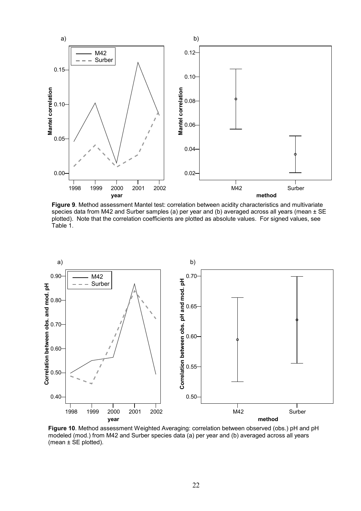

**Figure 9**. Method assessment Mantel test: correlation between acidity characteristics and multivariate species data from M42 and Surber samples (a) per year and (b) averaged across all years (mean ± SE plotted). Note that the correlation coefficients are plotted as absolute values. For signed values, see Table 1.



**Figure 10**. Method assessment Weighted Averaging: correlation between observed (obs.) pH and pH modeled (mod.) from M42 and Surber species data (a) per year and (b) averaged across all years (mean  $\pm$  SE plotted).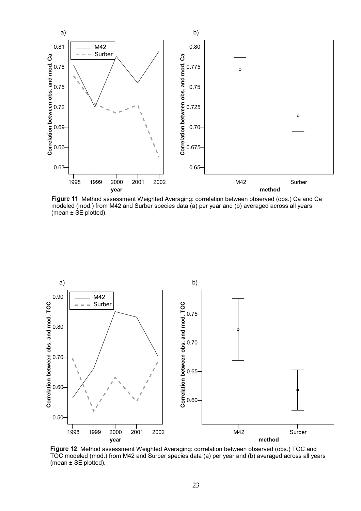

**Figure 11**. Method assessment Weighted Averaging: correlation between observed (obs.) Ca and Ca modeled (mod.) from M42 and Surber species data (a) per year and (b) averaged across all years (mean  $\pm$  SE plotted).



**Figure 12**. Method assessment Weighted Averaging: correlation between observed (obs.) TOC and TOC modeled (mod.) from M42 and Surber species data (a) per year and (b) averaged across all years (mean  $\pm$  SE plotted).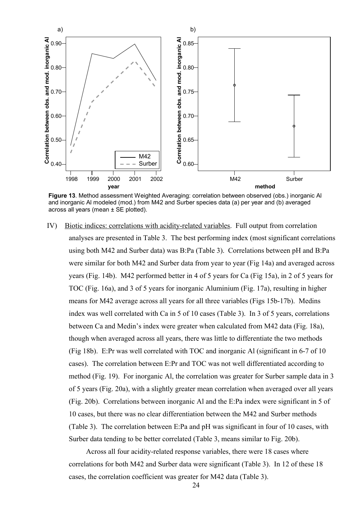

**Figure 13**. Method assessment Weighted Averaging: correlation between observed (obs.) inorganic Al and inorganic Al modeled (mod.) from M42 and Surber species data (a) per year and (b) averaged across all years (mean  $\pm$  SE plotted).

IV) Biotic indices: correlations with acidity-related variables. Full output from correlation analyses are presented in Table 3. The best performing index (most significant correlations using both M42 and Surber data) was B:Pa (Table 3). Correlations between pH and B:Pa were similar for both M42 and Surber data from year to year (Fig 14a) and averaged across years (Fig. 14b). M42 performed better in 4 of 5 years for Ca (Fig 15a), in 2 of 5 years for TOC (Fig. 16a), and 3 of 5 years for inorganic Aluminium (Fig. 17a), resulting in higher means for M42 average across all years for all three variables (Figs 15b-17b). Medins index was well correlated with Ca in 5 of 10 cases (Table 3). In 3 of 5 years, correlations between Ca and Medin's index were greater when calculated from M42 data (Fig. 18a), though when averaged across all years, there was little to differentiate the two methods (Fig 18b). E:Pr was well correlated with TOC and inorganic Al (significant in 6-7 of 10 cases). The correlation between E:Pr and TOC was not well differentiated according to method (Fig. 19). For inorganic Al, the correlation was greater for Surber sample data in 3 of 5 years (Fig. 20a), with a slightly greater mean correlation when averaged over all years (Fig. 20b). Correlations between inorganic Al and the E:Pa index were significant in 5 of 10 cases, but there was no clear differentiation between the M42 and Surber methods (Table 3). The correlation between E:Pa and pH was significant in four of 10 cases, with Surber data tending to be better correlated (Table 3, means similar to Fig. 20b).

Across all four acidity-related response variables, there were 18 cases where correlations for both M42 and Surber data were significant (Table 3). In 12 of these 18 cases, the correlation coefficient was greater for M42 data (Table 3).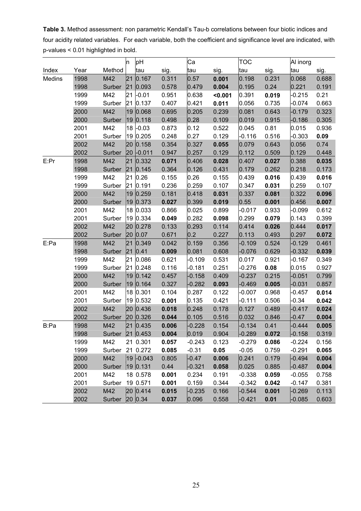**Table 3.** Method assessment: non parametric Kendall's Tau-b correlations between four biotic indices and four acidity related variables. For each variable, both the coefficient and significance level are indicated, with p-values < 0.01 highlighted in bold.

|        |      |                 | ļn. | pH                      |       | Ca       |         | тос      |       | Al inorg |       |
|--------|------|-----------------|-----|-------------------------|-------|----------|---------|----------|-------|----------|-------|
| Index  | Year | Method          |     | tau                     | sig.  | tau      | sig.    | tau      | sig.  | tau      | sig.  |
| Medins | 1998 | M42             | 21  | 0.167                   | 0.311 | 0.57     | 0.001   | 0.198    | 0.231 | 0.068    | 0.688 |
|        | 1998 | Surber          | 21  | 0.093                   | 0.578 | 0.479    | 0.004   | 0.195    | 0.24  | 0.221    | 0.191 |
|        | 1999 | M42             | 21  | $-0.01$                 | 0.951 | 0.638    | < 0.001 | 0.391    | 0.019 | $-0.215$ | 0.21  |
|        | 1999 | Surber          |     | 21 0.137                | 0.407 | 0.421    | 0.011   | 0.056    | 0.735 | $-0.074$ | 0.663 |
|        | 2000 | M42             | 19  | 0.068                   | 0.695 | 0.205    | 0.239   | 0.081    | 0.643 | $-0.179$ | 0.323 |
|        | 2000 | Surber          |     | 19 0.118                | 0.498 | 0.28     | 0.109   | 0.019    | 0.915 | $-0.186$ | 0.305 |
|        | 2001 | M42             | 18  | $-0.03$                 | 0.873 | 0.12     | 0.522   | 0.045    | 0.81  | 0.015    | 0.936 |
|        | 2001 | Surber          | 19  | 0.205                   | 0.248 | 0.27     | 0.129   | $-0.116$ | 0.516 | $-0.303$ | 0.09  |
|        | 2002 | M42             | 20  | 0.158                   | 0.354 | 0.327    | 0.055   | 0.079    | 0.643 | 0.056    | 0.74  |
|        | 2002 | Surber          | 20  | $-0.011$                | 0.947 | 0.257    | 0.129   | 0.112    | 0.509 | 0.129    | 0.448 |
| E:Pr   | 1998 | M42             | 21  | 0.332                   | 0.071 | 0.406    | 0.028   | 0.407    | 0.027 | 0.388    | 0.035 |
|        | 1998 | Surber          | 21  | 0.145                   | 0.364 | 0.126    | 0.431   | 0.179    | 0.262 | 0.218    | 0.173 |
|        | 1999 | M42             | 21  | 0.26                    | 0.155 | 0.26     | 0.155   | 0.439    | 0.016 | 0.439    | 0.016 |
|        | 1999 | Surber          | 21  | 0.191                   | 0.236 | 0.259    | 0.107   | 0.347    | 0.031 | 0.259    | 0.107 |
|        | 2000 | M42             | 19  | 0.259                   | 0.181 | 0.418    | 0.031   | 0.337    | 0.081 | 0.322    | 0.096 |
|        | 2000 | Surber          |     | 19 0.373                | 0.027 | 0.399    | 0.019   | 0.55     | 0.001 | 0.456    | 0.007 |
|        | 2001 | M42             |     | 18 0.033                | 0.866 | 0.025    | 0.899   | $-0.017$ | 0.933 | $-0.099$ | 0.612 |
|        | 2001 | Surber          |     | 19 0.334                | 0.049 | 0.282    | 0.098   | 0.299    | 0.079 | 0.143    | 0.399 |
|        | 2002 | M42             | 20  | 0.278                   | 0.133 | 0.293    | 0.114   | 0.414    | 0.026 | 0.444    | 0.017 |
|        | 2002 | Surber          | 20  | 0.07                    | 0.671 | 0.2      | 0.227   | 0.113    | 0.493 | 0.297    | 0.072 |
| E:Pa   | 1998 | M42             | 21  | 0.349                   | 0.042 | 0.159    | 0.356   | $-0.109$ | 0.524 | $-0.129$ | 0.461 |
|        | 1998 | Surber          | 21  | 0.41                    | 0.009 | 0.081    | 0.608   | $-0.076$ | 0.629 | $-0.332$ | 0.039 |
|        | 1999 | M42             | 21  | 0.086                   | 0.621 | $-0.109$ | 0.531   | 0.017    | 0.921 | $-0.167$ | 0.349 |
|        | 1999 | Surber          |     | 21 0.248                | 0.116 | $-0.181$ | 0.251   | $-0.276$ | 0.08  | 0.015    | 0.927 |
|        | 2000 | M42             | 19  | 0.142                   | 0.457 | $-0.158$ | 0.409   | $-0.237$ | 0.215 | $-0.051$ | 0.799 |
|        | 2000 | Surber          | 19  | 0.164                   | 0.327 | $-0.282$ | 0.093   | $-0.469$ | 0.005 | $-0.031$ | 0.857 |
|        | 2001 | M42             | 18  | 0.301                   | 0.104 | 0.287    | 0.122   | $-0.007$ | 0.968 | $-0.457$ | 0.014 |
|        | 2001 | Surber          | 19  | 0.532                   | 0.001 | 0.135    | 0.421   | $-0.111$ | 0.506 | $-0.34$  | 0.042 |
|        | 2002 | M42             | 20  | 0.436                   | 0.018 | 0.248    | 0.178   | 0.127    | 0.489 | $-0.417$ | 0.024 |
|        | 2002 | Surber          | 20  | 0.326                   | 0.044 | 0.105    | 0.516   | 0.032    | 0.846 | $-0.47$  | 0.004 |
| B:Pa   | 1998 | M42             | 21  | 0.435                   | 0.006 | $-0.228$ | 0.154   | $-0.134$ | 0.41  | $-0.444$ | 0.005 |
|        | 1998 | Surber 21 0.453 |     |                         | 0.004 | 0.019    | 0.904   | $-0.289$ | 0.072 | $-0.158$ | 0.319 |
|        | 1999 | M42             |     | 21 0.301                | 0.057 | $-0.243$ | 0.123   | $-0.279$ | 0.086 | $-0.224$ | 0.156 |
|        | 1999 | Surber          |     | 21 0.272                | 0.085 | $-0.31$  | 0.05    | $-0.05$  | 0.759 | $-0.291$ | 0.065 |
|        | 2000 | M42             |     | $ 19 $ -0.043           | 0.805 | $-0.47$  | 0.006   | 0.241    | 0.179 | $-0.494$ | 0.004 |
|        | 2000 | Surber          |     | 19 0.131                | 0.44  | $-0.321$ | 0.058   | 0.025    | 0.885 | $-0.487$ | 0.004 |
|        | 2001 | M42             |     | 18 0.578                | 0.001 | 0.234    | 0.191   | $-0.338$ | 0.059 | $-0.055$ | 0.758 |
|        | 2001 | Surber          |     | 19 0.571                | 0.001 | 0.159    | 0.344   | $-0.342$ | 0.042 | $-0.147$ | 0.381 |
|        | 2002 | M42             |     | 20 0.414                | 0.015 | $-0.235$ | 0.166   | $-0.544$ | 0.001 | $-0.269$ | 0.113 |
|        | 2002 | Surber          |     | $\vert$ 20 $\vert$ 0.34 | 0.037 | 0.096    | 0.558   | $-0.421$ | 0.01  | $-0.085$ | 0.603 |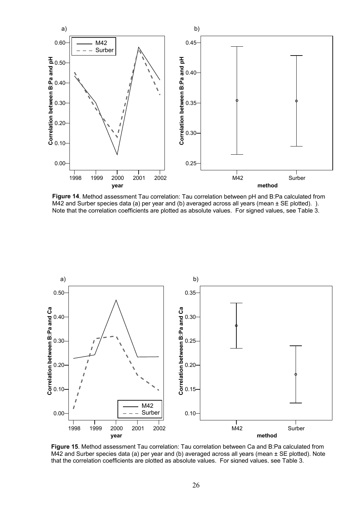

**Figure 14**. Method assessment Tau correlation: Tau correlation between pH and B:Pa calculated from M42 and Surber species data (a) per year and (b) averaged across all years (mean  $\pm$  SE plotted). ). Note that the correlation coefficients are plotted as absolute values. For signed values, see Table 3.



**Figure 15**. Method assessment Tau correlation: Tau correlation between Ca and B:Pa calculated from M42 and Surber species data (a) per year and (b) averaged across all years (mean ± SE plotted). Note that the correlation coefficients are plotted as absolute values. For signed values, see Table 3.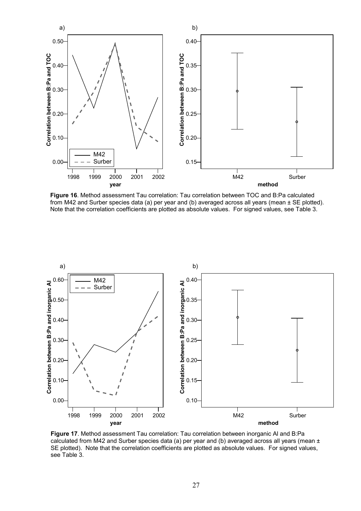

**Figure 16**. Method assessment Tau correlation: Tau correlation between TOC and B:Pa calculated from M42 and Surber species data (a) per year and (b) averaged across all years (mean ± SE plotted). Note that the correlation coefficients are plotted as absolute values. For signed values, see Table 3.



**Figure 17**. Method assessment Tau correlation: Tau correlation between inorganic Al and B:Pa calculated from M42 and Surber species data (a) per year and (b) averaged across all years (mean  $\pm$ SE plotted). Note that the correlation coefficients are plotted as absolute values. For signed values, see Table 3.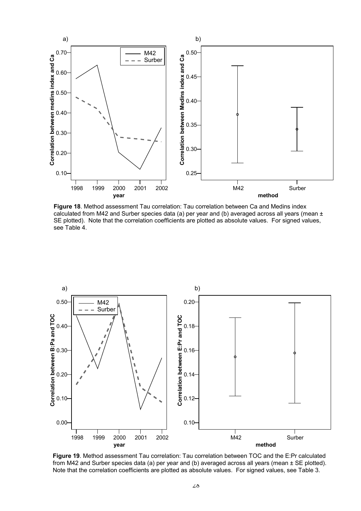

**Figure 18**. Method assessment Tau correlation: Tau correlation between Ca and Medins index calculated from M42 and Surber species data (a) per year and (b) averaged across all years (mean  $\pm$ SE plotted). Note that the correlation coefficients are plotted as absolute values. For signed values, see Table 4.



**Figure 19**. Method assessment Tau correlation: Tau correlation between TOC and the E:Pr calculated from M42 and Surber species data (a) per year and (b) averaged across all years (mean  $\pm$  SE plotted). Note that the correlation coefficients are plotted as absolute values. For signed values, see Table 3.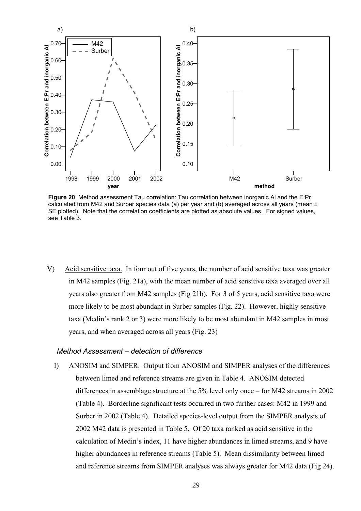

**Figure 20**. Method assessment Tau correlation: Tau correlation between inorganic Al and the E:Pr calculated from M42 and Surber species data (a) per year and (b) averaged across all years (mean  $\pm$ SE plotted). Note that the correlation coefficients are plotted as absolute values. For signed values, see Table 3.

V) Acid sensitive taxa. In four out of five years, the number of acid sensitive taxa was greater in M42 samples (Fig. 21a), with the mean number of acid sensitive taxa averaged over all years also greater from M42 samples (Fig 21b). For 3 of 5 years, acid sensitive taxa were more likely to be most abundant in Surber samples (Fig. 22). However, highly sensitive taxa (Medin's rank 2 or 3) were more likely to be most abundant in M42 samples in most years, and when averaged across all years (Fig. 23)

#### *Method Assessment – detection of difference*

I) ANOSIM and SIMPER. Output from ANOSIM and SIMPER analyses of the differences between limed and reference streams are given in Table 4. ANOSIM detected differences in assemblage structure at the 5% level only once – for M42 streams in 2002 (Table 4). Borderline significant tests occurred in two further cases: M42 in 1999 and Surber in 2002 (Table 4). Detailed species-level output from the SIMPER analysis of 2002 M42 data is presented in Table 5. Of 20 taxa ranked as acid sensitive in the calculation of Medin's index, 11 have higher abundances in limed streams, and 9 have higher abundances in reference streams (Table 5). Mean dissimilarity between limed and reference streams from SIMPER analyses was always greater for M42 data (Fig 24).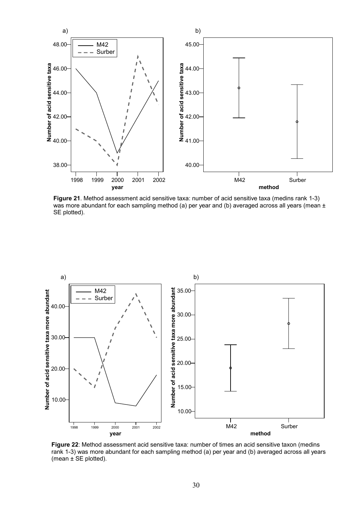

**Figure 21**. Method assessment acid sensitive taxa: number of acid sensitive taxa (medins rank 1-3) was more abundant for each sampling method (a) per year and (b) averaged across all years (mean  $\pm$ SE plotted).



**Figure 22**: Method assessment acid sensitive taxa: number of times an acid sensitive taxon (medins rank 1-3) was more abundant for each sampling method (a) per year and (b) averaged across all years (mean  $\pm$  SE plotted).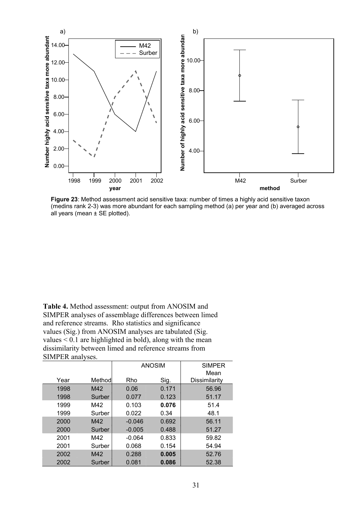

**Figure 23**: Method assessment acid sensitive taxa: number of times a highly acid sensitive taxon (medins rank 2-3) was more abundant for each sampling method (a) per year and (b) averaged across all years (mean ± SE plotted).

**Table 4.** Method assessment: output from ANOSIM and SIMPER analyses of assemblage differences between limed and reference streams. Rho statistics and significance values (Sig.) from ANOSIM analyses are tabulated (Sig. values < 0.1 are highlighted in bold), along with the mean dissimilarity between limed and reference streams from SIMPER analyses.

|      |        |          | <b>ANOSIM</b> | <b>SIMPER</b><br>Mean |
|------|--------|----------|---------------|-----------------------|
| Year | Method | Rho      | Sig.          | Dissimilarity         |
| 1998 | M42    | 0.06     | 0.171         | 56.96                 |
| 1998 | Surber | 0.077    | 0.123         | 51.17                 |
| 1999 | M42    | 0.103    | 0.076         | 51.4                  |
| 1999 | Surber | 0.022    | 0.34          | 48.1                  |
| 2000 | M42    | $-0.046$ | 0.692         | 56.11                 |
| 2000 | Surber | $-0.005$ | 0.488         | 51.27                 |
| 2001 | M42    | $-0.064$ | 0.833         | 59.82                 |
| 2001 | Surber | 0.068    | 0.154         | 54.94                 |
| 2002 | M42    | 0.288    | 0.005         | 52.76                 |
| 2002 | Surber | 0.081    | 0.086         | 52.38                 |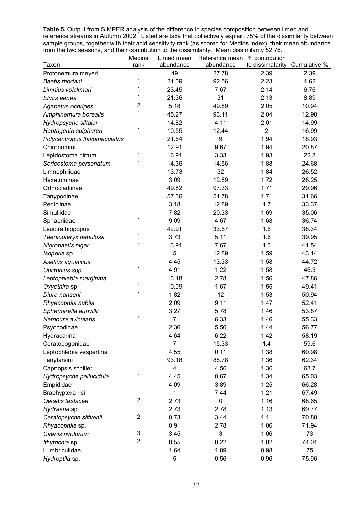**Table 5.** Output from SIMPER analysis of the difference in species composition between limed and reference streams in Autumn 2002. Listed are taxa that collectively explain 75% of the dissimilarity between sample groups, together with their acid sensitivity rank (as scored for Medins index), their mean abundance from the two seasons, and their contribution to the dissimilarity. Mean dissimilarity 52.76.

|                              | <b>Medins</b>  | Limed mean     | Reference mean | % contribution                |       |
|------------------------------|----------------|----------------|----------------|-------------------------------|-------|
| Taxon                        | rank           | abundance      | abundance      | to dissimalarity Cumulative % |       |
| Protonemura meyeri           |                | 49             | 27.78          | 2.39                          | 2.39  |
| Baetis rhodani               | 1              | 21.09          | 92.56          | 2.23                          | 4.62  |
| Limnius volckmari            | 1              | 23.45          | 7.67           | 2.14                          | 6.76  |
| Elmis aenea                  | 1              | 21.36          | 31             | 2.13                          | 8.89  |
| Agapetus ochripes            | $\overline{2}$ | 5.18           | 49.89          | 2.05                          | 10.94 |
| Amphinemura borealis         | 1              | 45.27          | 93.11          | 2.04                          | 12.98 |
| Hydropsyche siltalai         |                | 14.82          | 4.11           | 2.01                          | 14.99 |
| Heptagenia sulphurea         | 1              | 10.55          | 12.44          | $\overline{2}$                | 16.99 |
| Polycentropus flavomaculatus |                | 21.64          | 9              | 1.94                          | 18.93 |
| Chironomini                  |                | 12.91          | 9.67           | 1.94                          | 20.87 |
| Lepidostoma hirtum           | 1              | 16.91          | 3.33           | 1.93                          | 22.8  |
| Sericostoma personatum       | 1              | 14.36          | 14.56          | 1.88                          | 24.68 |
| Limnephilidae                |                | 13.73          | 32             | 1.84                          | 26.52 |
| Hexatominae                  |                | 3.09           | 12.89          | 1.72                          | 28.25 |
| Orthocladiinae               |                | 49.82          | 97.33          | 1.71                          | 29.96 |
| Tanypodinae                  |                | 57.36          | 51.78          | 1.71                          | 31.66 |
| Pediciinae                   |                | 3.18           | 12.89          | 1.7                           | 33.37 |
| Simuliidae                   |                | 7.82           | 20.33          | 1.69                          | 35.06 |
| Sphaeriidae                  | 1              | 9.09           | 4.67           | 1.68                          | 36.74 |
| Leuctra hippopus             |                | 42.91          | 33.67          | 1.6                           | 38.34 |
| Taeniopteryx nebulosa        | 1              | 3.73           | 5.11           | 1.6                           | 39.95 |
| Nigrobaetis niger            | 1              | 13.91          | 7.67           | 1.6                           | 41.54 |
| Isoperla sp.                 |                | 5              | 12.89          | 1.59                          | 43.14 |
| Asellus aquaticus            |                | 4.45           | 13.33          | 1.58                          | 44.72 |
| Oulimnius spp.               | 1              | 4.91           | 1.22           | 1.58                          | 46.3  |
| Leptophlebia marginata       |                | 13.18          | 2.78           | 1.56                          | 47.86 |
| Oxyethira sp.                | 1              | 10.09          | 1.67           | 1.55                          | 49.41 |
| Diura nanseni                | 1              | 1.82           | 12             | 1.53                          | 50.94 |
| Rhyacophila nubila           |                | 2.09           | 9.11           | 1.47                          | 52.41 |
| Ephemerella aurivillii       |                | 3.27           | 5.78           | 1.46                          | 53.87 |
| Nemoura avicularis           | 1              | $\overline{7}$ | 6.33           | 1.46                          | 55.33 |
| Psychodidae                  |                | 2.36           | 5.56           | 1.44                          | 56.77 |
| Hydracarina                  |                | 4.64           | 6.22           | 1.42                          | 58.19 |
| Ceratopogonidae              |                | $\overline{7}$ | 15.33          | 1.4                           | 59.6  |
| Leptophlebia vespertina      |                | 4.55           | 0.11           | 1.38                          | 60.98 |
| Tanytarsini                  |                | 93.18          | 88.78          | 1.36                          | 62.34 |
| Capnopsis schilleri          |                | 4              | 4.56           | 1.36                          | 63.7  |
| Hydropsyche pellucidula      | 1              | 4.45           | 0.67           | 1.34                          | 65.03 |
| Empididae                    |                | 4.09           | 3.89           | 1.25                          | 66.28 |
| Brachyptera risi             |                | 1              | 7.44           | 1.21                          | 67.49 |
| Oecetis testacea             | $\overline{2}$ | 2.73           | $\pmb{0}$      | 1.16                          | 68.65 |
| Hydraena sp.                 |                | 2.73           | 2.78           | 1.13                          | 69.77 |
| Ceratopsyche silfvenii       | $\overline{2}$ | 0.73           | 3.44           | 1.11                          | 70.88 |
| Rhyacophila sp.              |                | 0.91           | 2.78           | 1.06                          | 71.94 |
| Caenis rivulorum             | 3              | 3.45           | 3              | 1.06                          | 73    |
| Ithytrichia sp.              | $\overline{2}$ | 8.55           | 0.22           | 1.02                          | 74.01 |
| Lumbriculidae                |                | 1.64           | 1.89           | 0.98                          | 75    |
| Hydroptila sp.               |                | 5              | 0.56           | 0.96                          | 75.96 |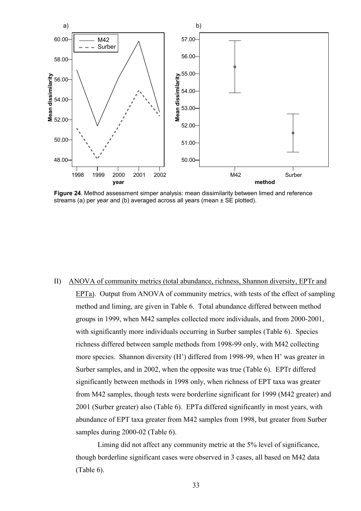

**Figure 24**. Method assessment simper analysis: mean dissimilarity between limed and reference streams (a) per year and (b) averaged across all years (mean  $\pm$  SE plotted).

II) ANOVA of community metrics (total abundance, richness, Shannon diversity, EPTr and EPTa). Output from ANOVA of community metrics, with tests of the effect of sampling method and liming, are given in Table 6. Total abundance differed between method groups in 1999, when M42 samples collected more individuals, and from 2000-2001, with significantly more individuals occurring in Surber samples (Table 6). Species richness differed between sample methods from 1998-99 only, with M42 collecting more species. Shannon diversity (H') differed from 1998-99, when H' was greater in Surber samples, and in 2002, when the opposite was true (Table 6). EPTr differed significantly between methods in 1998 only, when richness of EPT taxa was greater from M42 samples, though tests were borderline significant for 1999 (M42 greater) and 2001 (Surber greater) also (Table 6). EPTa differed significantly in most years, with abundance of EPT taxa greater from M42 samples from 1998, but greater from Surber samples during 2000-02 (Table 6).

Liming did not affect any community metric at the 5% level of significance, though borderline significant cases were observed in 3 cases, all based on M42 data (Table 6).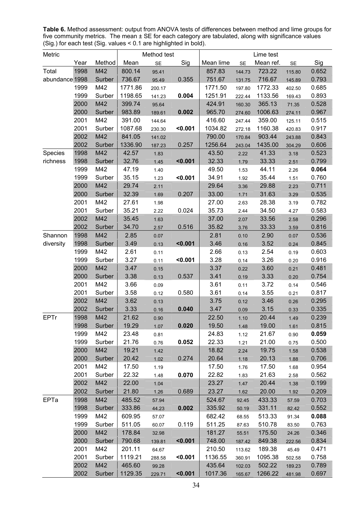**Table 6.** Method assessment: output from ANOVA tests of differences between method and lime groups for five community metrics. The mean ± SE for each category are tabulated, along with significance values (Sig.) for each test (Sig. values < 0.1 are highlighted in bold).

| Metric         |      |        |         | Method test |         | Lime test |           |           |           |       |
|----------------|------|--------|---------|-------------|---------|-----------|-----------|-----------|-----------|-------|
|                | Year | Method | Mean    | <b>SE</b>   | Sig     | Mean lime | <b>SE</b> | Mean ref. | <b>SE</b> | Sig   |
| Total          | 1998 | M42    | 800.14  | 95.41       |         | 857.83    | 144.73    | 723.22    | 115.80    | 0.652 |
| abundance 1998 |      | Surber | 736.67  | 95.49       | 0.355   | 751.67    | 131.75    | 716.67    | 145.89    | 0.793 |
|                | 1999 | M42    | 1771.86 | 200.17      |         | 1771.50   | 197.80    | 1772.33   | 402.50    | 0.685 |
|                | 1999 | Surber | 1198.65 | 141.23      | 0.004   | 1251.91   | 222.44    | 1133.56   | 169.43    | 0.893 |
|                | 2000 | M42    | 399.74  | 95.64       |         | 424.91    | 160.30    | 365.13    | 71.35     | 0.528 |
|                | 2000 | Surber | 983.89  | 189.61      | 0.002   | 965.70    | 274.60    | 1006.63   | 274.11    | 0.967 |
|                | 2001 | M42    | 391.00  | 144.64      |         | 416.60    | 247.44    | 359.00    | 125.11    | 0.515 |
|                | 2001 | Surber | 1087.68 | 230.30      | < 0.001 | 1034.82   | 272.18    | 1160.38   | 420.83    | 0.917 |
|                | 2002 | M42    | 841.05  | 141.02      |         | 790.00    | 170.84    | 903.44    | 243.88    | 0.843 |
|                | 2002 | Surber | 1336.90 | 187.23      | 0.257   | 1256.64   | 243.04    | 1435.00   | 304.29    | 0.606 |
| Species        | 1998 | M42    | 42.57   | 1.83        |         | 43.50     | 2.22      | 41.33     | 3.18      | 0.523 |
| richness       | 1998 | Surber | 32.76   | 1.45        | < 0.001 | 32.33     | 1.79      | 33.33     | 2.51      | 0.799 |
|                | 1999 | M42    | 47.19   | 1.40        |         | 49.50     | 1.53      | 44.11     | 2.26      | 0.064 |
|                | 1999 | Surber | 35.15   | 1.23        | < 0.001 | 34.91     | 1.92      | 35.44     | 1.51      | 0.760 |
|                | 2000 | M42    | 29.74   | 2.11        |         | 29.64     | 3.36      | 29.88     | 2.23      | 0.711 |
|                | 2000 | Surber | 32.39   | 1.69        | 0.207   | 33.00     | 1.71      | 31.63     | 3.29      | 0.535 |
|                | 2001 | M42    | 27.61   | 1.98        |         | 27.00     | 2.63      | 28.38     | 3.19      | 0.782 |
|                | 2001 | Surber | 35.21   | 2.22        | 0.024   | 35.73     | 2.44      | 34.50     | 4.27      | 0.583 |
|                | 2002 | M42    | 35.45   | 1.63        |         | 37.00     | 2.07      | 33.56     | 2.58      | 0.296 |
|                | 2002 | Surber | 34.70   | 2.57        | 0.516   | 35.82     | 3.76      | 33.33     | 3.59      | 0.816 |
| Shannon        | 1998 | M42    | 2.85    | 0.07        |         | 2.81      | 0.10      | 2.90      | 0.07      | 0.536 |
| diversity      | 1998 | Surber | 3.49    | 0.13        | < 0.001 | 3.46      | 0.16      | 3.52      | 0.24      | 0.845 |
|                | 1999 | M42    | 2.61    | 0.11        |         | 2.66      | 0.13      | 2.54      | 0.19      | 0.603 |
|                | 1999 | Surber | 3.27    | 0.11        | < 0.001 | 3.28      | 0.14      | 3.26      | 0.20      | 0.916 |
|                | 2000 | M42    | 3.47    | 0.15        |         | 3.37      | 0.22      | 3.60      | 0.21      | 0.481 |
|                | 2000 | Surber | 3.38    | 0.13        | 0.537   | 3.41      | 0.19      | 3.33      | 0.20      | 0.754 |
|                | 2001 | M42    | 3.66    | 0.09        |         | 3.61      | 0.11      | 3.72      | 0.14      | 0.546 |
|                | 2001 | Surber | 3.58    | 0.12        | 0.580   | 3.61      | 0.14      | 3.55      | 0.21      | 0.817 |
|                | 2002 | M42    | 3.62    | 0.13        |         | 3.75      | 0.12      | 3.46      | 0.26      | 0.295 |
|                | 2002 | Surber | 3.33    | 0.16        | 0.040   | 3.47      | 0.09      | 3.15      | 0.33      | 0.335 |
| <b>EPTr</b>    | 1998 | M42    | 21.62   | 0.90        |         | 22.50     | 1.10      | 20.44     | 1.49      | 0.239 |
|                | 1998 | Surber | 19.29   | 1.07        | 0.020   | 19.50     | 1.48      | 19.00     | 1.61      | 0.815 |
|                | 1999 | M42    | 23.48   | 0.81        |         | 24.83     | 1.12      | 21.67     | 0.90      | 0.059 |
|                | 1999 | Surber | 21.76   | 0.76        | 0.052   | 22.33     | 1.21      | 21.00     | 0.75      | 0.500 |
|                | 2000 | M42    | 19.21   | 1.42        |         | 18.82     | 2.24      | 19.75     | 1.58      | 0.538 |
|                | 2000 | Surber | 20.42   | 1.02        | 0.274   | 20.64     | 1.18      | 20.13     | 1.88      | 0.706 |
|                | 2001 | M42    | 17.50   | 1.19        |         | 17.50     | 1.76      | 17.50     | 1.68      | 0.954 |
|                | 2001 | Surber | 22.32   | 1.48        | 0.070   | 22.82     | 1.83      | 21.63     | 2.58      | 0.562 |
|                | 2002 | M42    | 22.00   | 1.04        |         | 23.27     | 1.47      | 20.44     | 1.38      | 0.199 |
|                | 2002 | Surber | 21.80   | 1.26        | 0.689   | 23.27     | 1.62      | 20.00     | 1.92      | 0.209 |
| EPTa           | 1998 | M42    | 485.52  | 57.94       |         | 524.67    | 92.45     | 433.33    | 57.59     | 0.703 |
|                | 1998 | Surber | 333.86  | 44.23       | 0.002   | 335.92    | 50.19     | 331.11    | 82.42     | 0.552 |
|                | 1999 | M42    | 609.95  | 57.07       |         | 682.42    | 68.55     | 513.33    | 91.34     | 0.088 |
|                | 1999 | Surber | 511.05  | 60.07       | 0.119   | 511.25    | 87.63     | 510.78    | 83.50     | 0.763 |
|                | 2000 | M42    | 178.84  | 32.98       |         | 181.27    | 55.51     | 175.50    | 24.26     | 0.346 |
|                | 2000 | Surber | 790.68  | 139.81      | < 0.001 | 748.00    | 187.42    | 849.38    | 222.56    | 0.834 |
|                | 2001 | M42    | 201.11  | 64.67       |         | 210.50    | 113.62    | 189.38    | 45.49     | 0.471 |
|                | 2001 | Surber | 1119.21 | 288.58      | < 0.001 | 1136.55   | 360.91    | 1095.38   | 502.58    | 0.758 |
|                | 2002 | M42    | 465.60  | 99.28       |         | 435.64    | 102.03    | 502.22    | 189.23    | 0.789 |
|                | 2002 | Surber | 1129.35 | 229.71      | < 0.001 | 1017.36   | 165.67    | 1266.22   | 481.98    | 0.697 |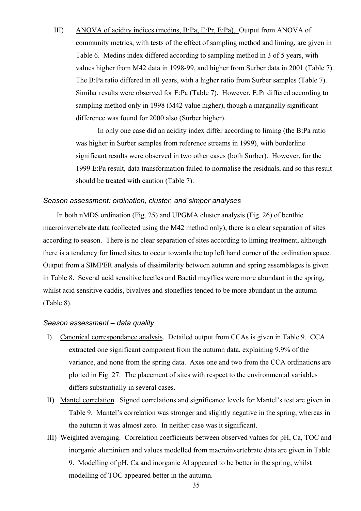III) ANOVA of acidity indices (medins, B:Pa, E:Pr, E:Pa). Output from ANOVA of community metrics, with tests of the effect of sampling method and liming, are given in Table 6. Medins index differed according to sampling method in 3 of 5 years, with values higher from M42 data in 1998-99, and higher from Surber data in 2001 (Table 7). The B:Pa ratio differed in all years, with a higher ratio from Surber samples (Table 7). Similar results were observed for E:Pa (Table 7). However, E:Pr differed according to sampling method only in 1998 (M42 value higher), though a marginally significant difference was found for 2000 also (Surber higher).

In only one case did an acidity index differ according to liming (the B:Pa ratio was higher in Surber samples from reference streams in 1999), with borderline significant results were observed in two other cases (both Surber). However, for the 1999 E:Pa result, data transformation failed to normalise the residuals, and so this result should be treated with caution (Table 7).

#### *Season assessment: ordination, cluster, and simper analyses*

In both nMDS ordination (Fig. 25) and UPGMA cluster analysis (Fig. 26) of benthic macroinvertebrate data (collected using the M42 method only), there is a clear separation of sites according to season. There is no clear separation of sites according to liming treatment, although there is a tendency for limed sites to occur towards the top left hand corner of the ordination space. Output from a SIMPER analysis of dissimilarity between autumn and spring assemblages is given in Table 8. Several acid sensitive beetles and Baetid mayflies were more abundant in the spring, whilst acid sensitive caddis, bivalves and stoneflies tended to be more abundant in the autumn (Table 8).

#### *Season assessment – data quality*

- I) Canonical correspondance analysis. Detailed output from CCAs is given in Table 9. CCA extracted one significant component from the autumn data, explaining 9.9% of the variance, and none from the spring data. Axes one and two from the CCA ordinations are plotted in Fig. 27. The placement of sites with respect to the environmental variables differs substantially in several cases.
- II) Mantel correlation. Signed correlations and significance levels for Mantel's test are given in Table 9. Mantel's correlation was stronger and slightly negative in the spring, whereas in the autumn it was almost zero. In neither case was it significant.
- III) Weighted averaging. Correlation coefficients between observed values for pH, Ca, TOC and inorganic aluminium and values modelled from macroinvertebrate data are given in Table 9. Modelling of pH, Ca and inorganic Al appeared to be better in the spring, whilst modelling of TOC appeared better in the autumn.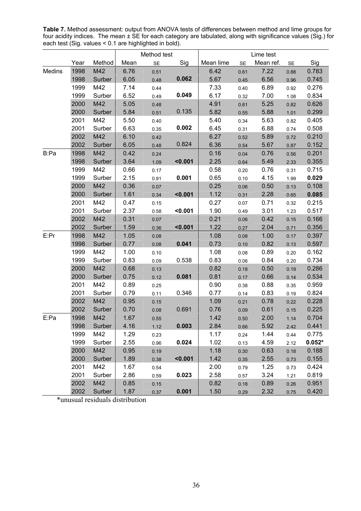**Table 7.** Method assessment: output from ANOVA tests of differences between method and lime groups for four acidity indices. The mean ± SE for each category are tabulated, along with significance values (Sig.) for each test (Sig. values < 0.1 are highlighted in bold).

|        |      |        | Method test |      |         | Lime test |           |           |      |          |
|--------|------|--------|-------------|------|---------|-----------|-----------|-----------|------|----------|
|        | Year | Method | Mean        | SE   | Sig     | Mean lime | <b>SE</b> | Mean ref. | SE   | Sig      |
| Medins | 1998 | M42    | 6.76        | 0.51 |         | 6.42      | 0.61      | 7.22      | 0.88 | 0.783    |
|        | 1998 | Surber | 6.05        | 0.48 | 0.062   | 5.67      | 0.45      | 6.56      | 0.96 | 0.745    |
|        | 1999 | M42    | 7.14        | 0.44 |         | 7.33      | 0.40      | 6.89      | 0.92 | 0.276    |
|        | 1999 | Surber | 6.52        | 0.49 | 0.049   | 6.17      | 0.32      | 7.00      | 1.08 | 0.834    |
|        | 2000 | M42    | 5.05        | 0.48 |         | 4.91      | 0.61      | 5.25      | 0.82 | 0.626    |
|        | 2000 | Surber | 5.84        | 0.51 | 0.135   | 5.82      | 0.55      | 5.88      | 1.01 | 0.299    |
|        | 2001 | M42    | 5.50        | 0.40 |         | 5.40      | 0.34      | 5.63      | 0.82 | 0.405    |
|        | 2001 | Surber | 6.63        | 0.35 | 0.002   | 6.45      | 0.31      | 6.88      | 0.74 | 0.508    |
|        | 2002 | M42    | 6.10        | 0.42 |         | 6.27      | 0.52      | 5.89      | 0.72 | 0.210    |
|        | 2002 | Surber | 6.05        | 0.48 | 0.824   | 6.36      | 0.54      | 5.67      | 0.87 | 0.152    |
| B:Pa   | 1998 | M42    | 0.42        | 0.24 |         | 0.16      | 0.04      | 0.76      | 0.56 | 0.201    |
|        | 1998 | Surber | 3.64        | 1.09 | < 0.001 | 2.25      | 0.64      | 5.49      | 2.33 | 0.355    |
|        | 1999 | M42    | 0.66        | 0.17 |         | 0.58      | 0.20      | 0.76      | 0.31 | 0.715    |
|        | 1999 | Surber | 2.15        | 0.91 | 0.001   | 0.65      | 0.10      | 4.15      | 1.99 | 0.029    |
|        | 2000 | M42    | 0.36        | 0.07 |         | 0.25      | 0.06      | 0.50      | 0.13 | 0.108    |
|        | 2000 | Surber | 1.61        | 0.34 | < 0.001 | 1.12      | 0.31      | 2.28      | 0.65 | 0.085    |
|        | 2001 | M42    | 0.47        | 0.15 |         | 0.27      | 0.07      | 0.71      | 0.32 | 0.215    |
|        | 2001 | Surber | 2.37        | 0.58 | < 0.001 | 1.90      | 0.49      | 3.01      | 1.23 | 0.517    |
|        | 2002 | M42    | 0.31        | 0.07 |         | 0.21      | 0.06      | 0.42      | 0.15 | 0.166    |
|        | 2002 | Surber | 1.59        | 0.36 | < 0.001 | 1.22      | 0.27      | 2.04      | 0.71 | 0.356    |
| E:Pr   | 1998 | M42    | 1.05        | 0.08 |         | 1.08      | 0.08      | 1.00      | 0.17 | 0.397    |
|        | 1998 | Surber | 0.77        | 0.08 | 0.041   | 0.73      | 0.10      | 0.82      | 0.13 | 0.597    |
|        | 1999 | M42    | 1.00        | 0.10 |         | 1.08      | 0.08      | 0.89      | 0.20 | 0.162    |
|        | 1999 | Surber | 0.83        | 0.09 | 0.538   | 0.83      | 0.06      | 0.84      | 0.20 | 0.734    |
|        | 2000 | M42    | 0.68        | 0.13 |         | 0.82      | 0.18      | 0.50      | 0.19 | 0.286    |
|        | 2000 | Surber | 0.75        | 0.12 | 0.081   | 0.81      | 0.17      | 0.66      | 0.14 | 0.534    |
|        | 2001 | M42    | 0.89        | 0.25 |         | 0.90      | 0.38      | 0.88      | 0.35 | 0.959    |
|        | 2001 | Surber | 0.79        | 0.11 | 0.346   | 0.77      | 0.14      | 0.83      | 0.19 | 0.824    |
|        | 2002 | M42    | 0.95        | 0.15 |         | 1.09      | 0.21      | 0.78      | 0.22 | 0.228    |
|        | 2002 | Surber | 0.70        | 0.08 | 0.691   | 0.76      | 0.09      | 0.61      | 0.15 | 0.225    |
| E:Pa   | 1998 | M42    | 1.67        | 0.55 |         | 1.42      | 0.50      | 2.00      | 1.14 | 0.704    |
|        | 1998 | Surber | 4.16        | 1.12 | 0.003   | 2.84      | 0.66      | 5.92      | 2.42 | 0.441    |
|        | 1999 | M42    | 1.29        | 0.23 |         | 1.17      | 0.24      | 1.44      | 0.44 | 0.775    |
|        | 1999 | Surber | 2.55        | 0.96 | 0.024   | 1.02      | 0.13      | 4.59      | 2.12 | $0.052*$ |
|        | 2000 | M42    | 0.95        | 0.19 |         | 1.18      | 0.30      | 0.63      | 0.18 | 0.188    |
|        | 2000 | Surber | 1.89        | 0.38 | < 0.001 | 1.42      | 0.35      | 2.55      | 0.73 | 0.155    |
|        | 2001 | M42    | 1.67        | 0.54 |         | 2.00      | 0.79      | 1.25      | 0.73 | 0.424    |
|        | 2001 | Surber | 2.86        | 0.59 | 0.023   | 2.58      | 0.57      | 3.24      | 1.21 | 0.819    |
|        | 2002 | M42    | 0.85        | 0.15 |         | 0.82      | 0.18      | 0.89      | 0.26 | 0.951    |
|        | 2002 | Surber | 1.87        | 0.37 | 0.001   | 1.50      | 0.29      | 2.32      | 0.75 | 0.420    |

\*unusual residuals distribution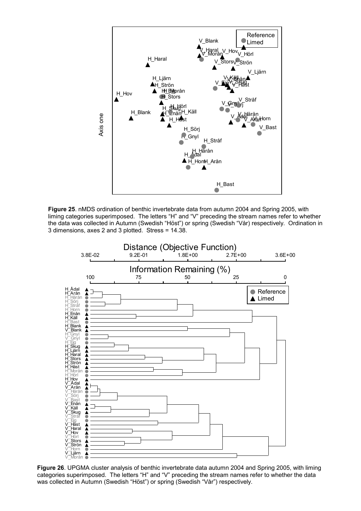

**Figure 25**. nMDS ordination of benthic invertebrate data from autumn 2004 and Spring 2005, with liming categories superimposed. The letters "H" and "V" preceding the stream names refer to whether the data was collected in Autumn (Swedish "Höst") or spring (Swedish "Vår) respectively. Ordination in 3 dimensions, axes 2 and 3 plotted. Stress = 14.38.



was collected in Autumn (Swedish "Höst") or spring (Swedish "Vår") respectively.<br>. **Figure 26**. UPGMA cluster analysis of benthic invertebrate data autumn 2004 and Spring 2005, with liming categories superimposed. The letters "H" and "V" preceding the stream names refer to whether the data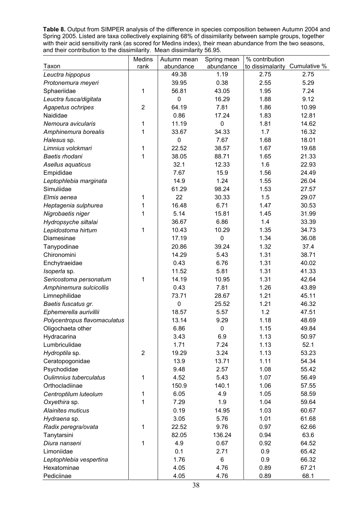**Table 8.** Output from SIMPER analysis of the difference in species composition between Autumn 2004 and Spring 2005. Listed are taxa collectively explaining 68% of dissimilarity between sample groups, together with their acid sensitivity rank (as scored for Medins index), their mean abundance from the two seasons, and their contribution to the dissimilarity. Mean dissimilarity 56.95.

|                              | Medins         | Autumn mean | Spring mean | % contribution                |       |
|------------------------------|----------------|-------------|-------------|-------------------------------|-------|
| Taxon                        | rank           | abundance   | abundance   | to dissimalarity Cumulative % |       |
| Leuctra hippopus             |                | 49.38       | 1.19        | 2.75                          | 2.75  |
| Protonemura meyeri           |                | 39.95       | 0.38        | 2.55                          | 5.29  |
| Sphaeriidae                  | 1              | 56.81       | 43.05       | 1.95                          | 7.24  |
| Leuctra fusca/digitata       |                | $\mathbf 0$ | 16.29       | 1.88                          | 9.12  |
| Agapetus ochripes            | $\overline{2}$ | 64.19       | 7.81        | 1.86                          | 10.99 |
| Naididae                     |                | 0.86        | 17.24       | 1.83                          | 12.81 |
| Nemoura avicularis           | 1              | 11.19       | 0           | 1.81                          | 14.62 |
| Amphinemura borealis         | 1              | 33.67       | 34.33       | 1.7                           | 16.32 |
| Halesus sp.                  |                | $\mathbf 0$ | 7.67        | 1.68                          | 18.01 |
| Limnius volckmari            | 1              | 22.52       | 38.57       | 1.67                          | 19.68 |
| Baetis rhodani               | 1              | 38.05       | 88.71       | 1.65                          | 21.33 |
| Asellus aquaticus            |                | 32.1        | 12.33       | 1.6                           | 22.93 |
| Empididae                    |                | 7.67        | 15.9        | 1.56                          | 24.49 |
| Leptophlebia marginata       |                | 14.9        | 1.24        | 1.55                          | 26.04 |
| Simuliidae                   |                | 61.29       | 98.24       | 1.53                          | 27.57 |
| Elmis aenea                  | 1              | 22          | 30.33       | 1.5                           | 29.07 |
| Heptagenia sulphurea         | 1              | 16.48       | 6.71        | 1.47                          | 30.53 |
| Nigrobaetis niger            | 1              | 5.14        | 15.81       | 1.45                          | 31.99 |
| Hydropsyche siltalai         |                | 36.67       | 6.86        | 1.4                           | 33.39 |
| Lepidostoma hirtum           | 1              | 10.43       | 10.29       | 1.35                          | 34.73 |
| Diamesinae                   |                | 17.19       | 0           | 1.34                          | 36.08 |
| Tanypodinae                  |                | 20.86       | 39.24       | 1.32                          | 37.4  |
| Chironomini                  |                | 14.29       | 5.43        | 1.31                          | 38.71 |
| Enchytraeidae                |                | 0.43        | 6.76        | 1.31                          | 40.02 |
| Isoperla sp.                 |                | 11.52       | 5.81        | 1.31                          | 41.33 |
| Sericostoma personatum       | 1              | 14.19       | 10.95       | 1.31                          | 42.64 |
| Amphinemura sulcicollis      |                | 0.43        | 7.81        | 1.26                          | 43.89 |
| Limnephilidae                |                | 73.71       | 28.67       | 1.21                          | 45.11 |
| Baetis fuscatus gr.          |                | $\mathbf 0$ | 25.52       | 1.21                          | 46.32 |
| Ephemerella aurivillii       |                | 18.57       | 5.57        | 1.2                           | 47.51 |
| Polycentropus flavomaculatus |                | 13.14       | 9.29        | 1.18                          | 48.69 |
| Oligochaeta other            |                | 6.86        | $\mathbf 0$ | 1.15                          | 49.84 |
| Hydracarina                  |                | 3.43        | 6.9         | 1.13                          | 50.97 |
| Lumbriculidae                |                | 1.71        | 7.24        | 1.13                          | 52.1  |
| Hydroptila sp.               | $\overline{2}$ | 19.29       | 3.24        | 1.13                          | 53.23 |
| Ceratopogonidae              |                | 13.9        | 13.71       | 1.11                          | 54.34 |
| Psychodidae                  |                | 9.48        | 2.57        | 1.08                          | 55.42 |
| Oulimnius tuberculatus       | 1              | 4.52        | 5.43        | 1.07                          | 56.49 |
| Orthocladiinae               |                | 150.9       | 140.1       | 1.06                          | 57.55 |
| Centroptilum luteolum        | 1              | 6.05        | 4.9         | 1.05                          | 58.59 |
| Oxyethira sp.                | 1              | 7.29        | 1.9         | 1.04                          | 59.64 |
| Alainites muticus            |                | 0.19        | 14.95       | 1.03                          | 60.67 |
| Hydraena sp.                 |                | 3.05        | 5.76        | 1.01                          | 61.68 |
| Radix peregra/ovata          | 1              | 22.52       | 9.76        | 0.97                          | 62.66 |
| Tanytarsini                  |                | 82.05       | 136.24      | 0.94                          | 63.6  |
| Diura nanseni                | 1              | 4.9         | 0.67        | 0.92                          | 64.52 |
| Limoniidae                   |                | 0.1         | 2.71        | 0.9                           | 65.42 |
| Leptophlebia vespertina      |                | 1.76        | 6           | 0.9                           | 66.32 |
| Hexatominae                  |                | 4.05        | 4.76        | 0.89                          | 67.21 |
| Pediciinae                   |                | 4.05        | 4.76        | 0.89                          | 68.1  |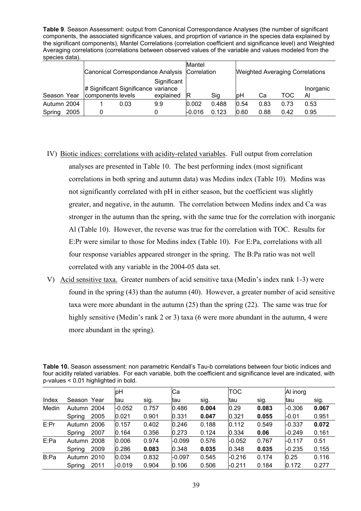**Table 9**. Season Assessment: output from Canonical Correspondance Analyses (the number of significant components, the associated significance values, and proprtion of variance in the species data explained by the significant components), Mantel Correlations (correlation coefficient and significance level) and Weighted Averaging correlations (correlations between observed values of the variable and values modeled from the species data).

|             |      | Canonical Correspondance Analysis Correlation            |      |                          | Mantel |       |      |      |      | <b>Weighted Averaging Correlations</b> |
|-------------|------|----------------------------------------------------------|------|--------------------------|--------|-------|------|------|------|----------------------------------------|
| Season Year |      | # Significant Significance variance<br>components levels |      | Significant<br>explained | ΙR     | Sig   | lрН  | Cа   | TOC  | Inorganic<br>Al                        |
| Autumn 2004 |      |                                                          | 0.03 | 9.9                      | 0.002  | 0.488 | 0.54 | 0.83 | 0.73 | 0.53                                   |
| Spring      | 2005 |                                                          |      |                          | -0.016 | 0.123 | 0.60 | 0.88 | 0.42 | 0.95                                   |

- IV) Biotic indices: correlations with acidity-related variables. Full output from correlation analyses are presented in Table 10. The best performing index (most significant correlations in both spring and autumn data) was Medins index (Table 10). Medins was not significantly correlated with pH in either season, but the coefficient was slightly greater, and negative, in the autumn. The correlation between Medins index and Ca was stronger in the autumn than the spring, with the same true for the correlation with inorganic Al (Table 10). However, the reverse was true for the correlation with TOC. Results for E:Pr were similar to those for Medins index (Table 10). For E:Pa, correlations with all four response variables appeared stronger in the spring. The B:Pa ratio was not well correlated with any variable in the 2004-05 data set.
- V) Acid sensitive taxa. Greater numbers of acid sensitive taxa (Medin's index rank 1-3) were found in the spring (43) than the autumn (40). However, a greater number of acid sensitive taxa were more abundant in the autumn (25) than the spring (22). The same was true for highly sensitive (Medin's rank 2 or 3) taxa (6 were more abundant in the autumn, 4 were more abundant in the spring).

|       |             |      | $P$ value $Q$ . $Q$ is implified in bold. |       |          |       |            |       |          |       |
|-------|-------------|------|-------------------------------------------|-------|----------|-------|------------|-------|----------|-------|
|       |             |      | þН                                        |       | Cа       |       | <b>TOC</b> |       | Al inorg |       |
| Index | Season Year |      | tau                                       | sig.  | tau      | sig.  | ltau       | sig.  | ltau     | sig.  |
| Medin | Autumn 2004 |      | $-0.052$                                  | 0.757 | 0.486    | 0.004 | 0.29       | 0.083 | $-0.306$ | 0.067 |
|       | Spring      | 2005 | 0.021                                     | 0.901 | 0.331    | 0.047 | 0.321      | 0.055 | $-0.01$  | 0.951 |
| E:Pr  | Autumn 2006 |      | 0.157                                     | 0.402 | 0.246    | 0.188 | 0.112      | 0.549 | $-0.337$ | 0.072 |
|       | Spring      | 2007 | 0.164                                     | 0.356 | 0.273    | 0.124 | 0.334      | 0.06  | $-0.249$ | 0.161 |
| E:Pa  | Autumn 2008 |      | 0.006                                     | 0.974 | $-0.099$ | 0.576 | -0.052     | 0.767 | $-0.117$ | 0.51  |
|       | Spring      | 2009 | 0.286                                     | 0.083 | 0.348    | 0.035 | 0.348      | 0.035 | $-0.235$ | 0.155 |
| B:Pa  | Autumn 2010 |      | 0.034                                     | 0.832 | $-0.097$ | 0.545 | -0.216     | 0.174 | 0.25     | 0.116 |
|       | Spring      | 2011 | -0.019                                    | 0.904 | 0.106    | 0.506 | $-0.211$   | 0.184 | 0.172    | 0.277 |

**Table 10.** Season assessment: non parametric Kendall's Tau-b correlations between four biotic indices and four acidity related variables. For each variable, both the coefficient and significance level are indicated, with p-values  $\leq 0.01$  highlighted in bold.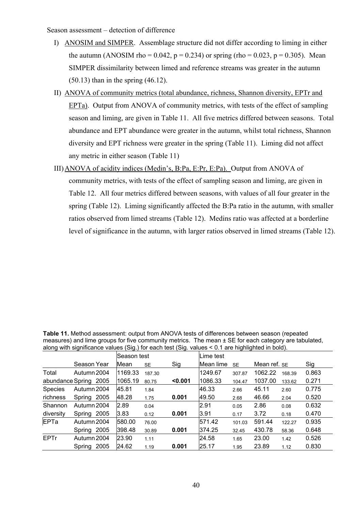Season assessment – detection of difference

- I) ANOSIM and SIMPER. Assemblage structure did not differ according to liming in either the autumn (ANOSIM rho =  $0.042$ , p =  $0.234$ ) or spring (rho =  $0.023$ , p =  $0.305$ ). Mean SIMPER dissimilarity between limed and reference streams was greater in the autumn (50.13) than in the spring (46.12).
- II) ANOVA of community metrics (total abundance, richness, Shannon diversity, EPTr and EPTa). Output from ANOVA of community metrics, with tests of the effect of sampling season and liming, are given in Table 11. All five metrics differed between seasons. Total abundance and EPT abundance were greater in the autumn, whilst total richness, Shannon diversity and EPT richness were greater in the spring (Table 11). Liming did not affect any metric in either season (Table 11)
- III)ANOVA of acidity indices (Medin's, B:Pa, E:Pr, E:Pa). Output from ANOVA of community metrics, with tests of the effect of sampling season and liming, are given in Table 12. All four metrics differed between seasons, with values of all four greater in the spring (Table 12). Liming significantly affected the B:Pa ratio in the autumn, with smaller ratios observed from limed streams (Table 12). Medins ratio was affected at a borderline level of significance in the autumn, with larger ratios observed in limed streams (Table 12).

**Table 11.** Method assessment: output from ANOVA tests of differences between season (repeated measures) and lime groups for five community metrics. The mean ± SE for each category are tabulated, along with significance values (Sig.) for each test (Sig. values < 0.1 are highlighted in bold).

|             |                       | <b>Season test</b> |           |         | Lime test |           |              |        |       |
|-------------|-----------------------|--------------------|-----------|---------|-----------|-----------|--------------|--------|-------|
|             | Season Year           | <b>Mean</b>        | <b>SE</b> | Sig     | Mean lime | <b>SE</b> | Mean ref. SE |        | Sig   |
| Total       | Autumn 2004           | 1169.33            | 187.30    |         | 1249.67   | 307.87    | 1062.22      | 168.39 | 0.863 |
|             | abundance Spring 2005 | 1065.19            | 80.75     | < 0.001 | 1086.33   | 104.47    | 1037.00      | 133.62 | 0.271 |
| Species     | Autumn 2004           | 45.81              | 1.84      |         | 46.33     | 2.66      | 45.11        | 2.60   | 0.775 |
| richness    | 2005<br>Spring        | 48.28              | 1.75      | 0.001   | 49.50     | 2.68      | 46.66        | 2.04   | 0.520 |
| Shannon     | Autumn 2004           | 2.89               | 0.04      |         | 2.91      | 0.05      | 2.86         | 0.08   | 0.632 |
| diversity   | 2005<br>Spring        | 3.83               | 0.12      | 0.001   | 3.91      | 0.17      | 3.72         | 0.18   | 0.470 |
| <b>EPTa</b> | Autumn 2004           | 580.00             | 76.00     |         | 571.42    | 101.03    | 591.44       | 122.27 | 0.935 |
|             | 2005<br>Spring        | 398.48             | 30.89     | 0.001   | 374.25    | 32.45     | 430.78       | 58.36  | 0.648 |
| <b>EPTr</b> | Autumn 2004           | 23.90              | 1.11      |         | 24.58     | 1.65      | 23.00        | 1.42   | 0.526 |
|             | 2005<br>Spring        | 24.62              | 1.19      | 0.001   | 25.17     | 1.95      | 23.89        | 1.12   | 0.830 |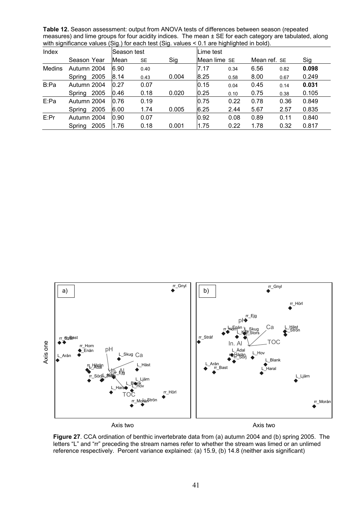**Table 12.** Season assessment: output from ANOVA tests of differences between season (repeated measures) and lime groups for four acidity indices. The mean ± SE for each category are tabulated, along with significance values (Sig.) for each test (Sig. values < 0.1 are highlighted in bold).

| Index  |                | lSeason test |           |       |              | Lime test |              |      |       |  |  |  |
|--------|----------------|--------------|-----------|-------|--------------|-----------|--------------|------|-------|--|--|--|
|        | Season Year    | Mean         | <b>SE</b> | Sig   | Mean lime SE |           | Mean ref. SE |      | Sig   |  |  |  |
| Medins | Autumn 2004    | 6.90         | 0.40      |       | 7.17         | 0.34      | 6.56         | 0.82 | 0.098 |  |  |  |
|        | 2005<br>Spring | 8.14         | 0.43      | 0.004 | 8.25         | 0.58      | 8.00         | 0.67 | 0.249 |  |  |  |
| B:Pa   | Autumn 2004    | 0.27         | 0.07      |       | 0.15         | 0.04      | 0.45         | 0.14 | 0.031 |  |  |  |
|        | 2005<br>Spring | 0.46         | 0.18      | 0.020 | 0.25         | 0.10      | 0.75         | 0.38 | 0.105 |  |  |  |
| E:Pa   | Autumn 2004    | 0.76         | 0.19      |       | 0.75         | 0.22      | 0.78         | 0.36 | 0.849 |  |  |  |
|        | 2005<br>Spring | 6.00         | 1.74      | 0.005 | 6.25         | 2.44      | 5.67         | 2.57 | 0.835 |  |  |  |
| E:Pr   | Autumn 2004    | 0.90         | 0.07      |       | 0.92         | 0.08      | 0.89         | 0.11 | 0.840 |  |  |  |
|        | 2005<br>Spring | 1.76         | 0.18      | 0.001 | 1.75         | 0.22      | 1.78         | 0.32 | 0.817 |  |  |  |



**Figure 27**. CCA ordination of benthic invertebrate data from (a) autumn 2004 and (b) spring 2005. The letters "L" and "rr" preceding the stream names refer to whether the stream was limed or an unlimed reference respectively. Percent variance explained: (a) 15.9, (b) 14.8 (neither axis significant)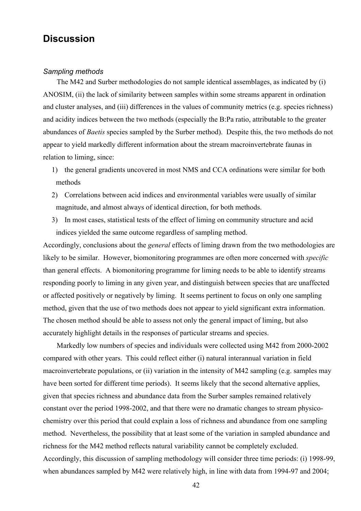## **Discussion**

#### *Sampling methods*

The M42 and Surber methodologies do not sample identical assemblages, as indicated by (i) ANOSIM, (ii) the lack of similarity between samples within some streams apparent in ordination and cluster analyses, and (iii) differences in the values of community metrics (e.g. species richness) and acidity indices between the two methods (especially the B:Pa ratio, attributable to the greater abundances of *Baetis* species sampled by the Surber method). Despite this, the two methods do not appear to yield markedly different information about the stream macroinvertebrate faunas in relation to liming, since:

- 1) the general gradients uncovered in most NMS and CCA ordinations were similar for both methods
- 2) Correlations between acid indices and environmental variables were usually of similar magnitude, and almost always of identical direction, for both methods.
- 3) In most cases, statistical tests of the effect of liming on community structure and acid indices yielded the same outcome regardless of sampling method.

Accordingly, conclusions about the *general* effects of liming drawn from the two methodologies are likely to be similar. However, biomonitoring programmes are often more concerned with *specific* than general effects. A biomonitoring programme for liming needs to be able to identify streams responding poorly to liming in any given year, and distinguish between species that are unaffected or affected positively or negatively by liming. It seems pertinent to focus on only one sampling method, given that the use of two methods does not appear to yield significant extra information. The chosen method should be able to assess not only the general impact of liming, but also accurately highlight details in the responses of particular streams and species.

Markedly low numbers of species and individuals were collected using M42 from 2000-2002 compared with other years. This could reflect either (i) natural interannual variation in field macroinvertebrate populations, or (ii) variation in the intensity of M42 sampling (e.g. samples may have been sorted for different time periods). It seems likely that the second alternative applies, given that species richness and abundance data from the Surber samples remained relatively constant over the period 1998-2002, and that there were no dramatic changes to stream physicochemistry over this period that could explain a loss of richness and abundance from one sampling method. Nevertheless, the possibility that at least some of the variation in sampled abundance and richness for the M42 method reflects natural variability cannot be completely excluded. Accordingly, this discussion of sampling methodology will consider three time periods: (i) 1998-99, when abundances sampled by M42 were relatively high, in line with data from 1994-97 and 2004;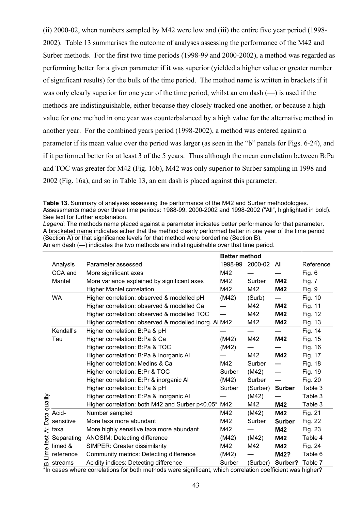(ii) 2000-02, when numbers sampled by M42 were low and (iii) the entire five year period (1998- 2002). Table 13 summarises the outcome of analyses assessing the performance of the M42 and Surber methods. For the first two time periods (1998-99 and 2000-2002), a method was regarded as performing better for a given parameter if it was superior (yielded a higher value or greater number of significant results) for the bulk of the time period. The method name is written in brackets if it was only clearly superior for one year of the time period, whilst an em dash (—) is used if the methods are indistinguishable, either because they closely tracked one another, or because a high value for one method in one year was counterbalanced by a high value for the alternative method in another year. For the combined years period (1998-2002), a method was entered against a parameter if its mean value over the period was larger (as seen in the "b" panels for Figs. 6-24), and if it performed better for at least 3 of the 5 years. Thus although the mean correlation between B:Pa and TOC was greater for M42 (Fig. 16b), M42 was only superior to Surber sampling in 1998 and 2002 (Fig. 16a), and so in Table 13, an em dash is placed against this parameter.

**Table 13.** Summary of analyses assessing the performance of the M42 and Surber methodologies. Assessments made over three time periods: 1988-99, 2000-2002 and 1998-2002 ("All", highlighted in bold). See text for further explanation.

*Legend*: The methods name placed against a parameter indicates better performance for that parameter. A bracketed name indicates either that the method clearly performed better in one year of the time period (Section A) or that significance levels for that method were borderline (Section B). An em dash (—) indicates the two methods are indistinguishable over that time period.

|                       |            |                                                       | <b>Better method</b> |          |               |                |
|-----------------------|------------|-------------------------------------------------------|----------------------|----------|---------------|----------------|
|                       | Analysis   | Parameter assessed                                    | 1998-99              | 2000-02  | All           | Reference      |
|                       | CCA and    | More significant axes                                 | M42                  |          |               | Fig. 6         |
|                       | Mantel     | More variance explained by significant axes           | M42                  | Surber   | M42           | Fig. 7         |
|                       |            | Higher Mantel correlation                             | M42                  | M42      | M42           | Fig. 9         |
|                       | <b>WA</b>  | Higher correlation: observed & modelled pH            | (M42)                | (Surb)   |               | Fig. 10        |
|                       |            | Higher correlation: observed & modelled Ca            |                      | M42      | M42           | Fig. 11        |
|                       |            | Higher correlation: observed & modelled TOC           |                      | M42      | M42           | Fig. 12        |
|                       |            | Higher correlation: observed & modelled inorg. Al M42 |                      | M42      | M42           | Fig. 13        |
|                       | Kendall's  | Higher correlation: B:Pa & pH                         |                      |          |               | Fig. 14        |
|                       | Tau        | Higher correlation: B:Pa & Ca                         | (M42)                | M42      | M42           | Fig. 15        |
|                       |            | Higher correlation: B:Pa & TOC                        | (M42)                |          |               | Fig. 16        |
|                       |            | Higher correlation: B:Pa & inorganic Al               |                      | M42      | M42           | Fig. 17        |
|                       |            | Higher correlation: Medins & Ca                       | M42                  | Surber   |               | Fig. 18        |
|                       |            | Higher correlation: E:Pr & TOC                        | Surber               | (M42)    |               | Fig. 19        |
|                       |            | Higher correlation: E:Pr & inorganic Al               | (M42)                | Surber   |               | Fig. 20        |
|                       |            | Higher correlation: E:Pa & pH                         | Surber               | (Surber) | <b>Surber</b> | Table 3        |
|                       |            | Higher correlation: E:Pa & inorganic Al               |                      | (M42)    |               | Table 3        |
|                       |            | Higher correlation: both M42 and Surber p<0.05*       | M42                  | M42      | M42           | Table 3        |
| Data quality          | Acid-      | Number sampled                                        | M42                  | (M42)    | M42           | Fig. 21        |
|                       | sensitive  | More taxa more abundant                               | M42                  | Surber   | <b>Surber</b> | Fig. 22        |
| خ                     | taxa       | More highly sensitive taxa more abundant              | M42                  |          | M42           | Fig. 23        |
|                       | Separating | ANOSIM: Detecting difference                          | (M42)                | (M42)    | M42           | Table 4        |
|                       | limed &    | SIMPER: Greater dissimilarity                         | M42                  | M42      | M42           | <b>Fig. 24</b> |
| Lime test             | reference  | Community metrics: Detecting difference               | (M42)                |          | M42?          | Table 6        |
| $\boldsymbol{\omega}$ | streams    | Acidity indices: Detecting difference                 | Surber               | (Surber) | Surber?       | Table 7        |

\*In cases where correlations for both methods were significant, which correlation coefficient was higher?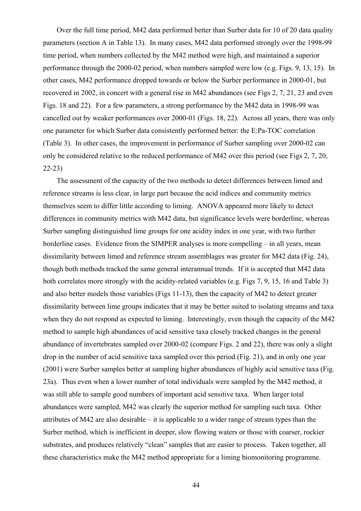Over the full time period, M42 data performed better than Surber data for 10 of 20 data quality parameters (section A in Table 13). In many cases, M42 data performed strongly over the 1998-99 time period, when numbers collected by the M42 method were high, and maintained a superior performance through the 2000-02 period, when numbers sampled were low (e.g. Figs. 9, 13, 15). In other cases, M42 performance dropped towards or below the Surber performance in 2000-01, but recovered in 2002, in concert with a general rise in M42 abundances (see Figs 2, 7, 21, 23 and even Figs. 18 and 22). For a few parameters, a strong performance by the M42 data in 1998-99 was cancelled out by weaker performances over 2000-01 (Figs. 18, 22). Across all years, there was only one parameter for which Surber data consistently performed better: the E:Pa-TOC correlation (Table 3). In other cases, the improvement in performance of Surber sampling over 2000-02 can only be considered relative to the reduced performance of M42 over this period (see Figs 2, 7, 20, 22-23)

The assessment of the capacity of the two methods to detect differences between limed and reference streams is less clear, in large part because the acid indices and community metrics themselves seem to differ little according to liming. ANOVA appeared more likely to detect differences in community metrics with M42 data, but significance levels were borderline, whereas Surber sampling distinguished lime groups for one acidity index in one year, with two further borderline cases. Evidence from the SIMPER analyses is more compelling – in all years, mean dissimilarity between limed and reference stream assemblages was greater for M42 data (Fig. 24), though both methods tracked the same general interannual trends. If it is accepted that M42 data both correlates more strongly with the acidity-related variables (e.g. Figs 7, 9, 15, 16 and Table 3) and also better models those variables (Figs 11-13), then the capacity of M42 to detect greater dissimilarity between lime groups indicates that it may be better suited to isolating streams and taxa when they do not respond as expected to liming. Interestingly, even though the capacity of the M42 method to sample high abundances of acid sensitive taxa closely tracked changes in the general abundance of invertebrates sampled over 2000-02 (compare Figs. 2 and 22), there was only a slight drop in the number of acid sensitive taxa sampled over this period (Fig. 21), and in only one year (2001) were Surber samples better at sampling higher abundances of highly acid sensitive taxa (Fig. 23a). Thus even when a lower number of total individuals were sampled by the M42 method, it was still able to sample good numbers of important acid sensitive taxa. When larger total abundances were sampled, M42 was clearly the superior method for sampling such taxa. Other attributes of M42 are also desirable – it is applicable to a wider range of stream types than the Surber method, which is inefficient in deeper, slow flowing waters or those with coarser, rockier substrates, and produces relatively "clean" samples that are easier to process. Taken together, all these characteristics make the M42 method appropriate for a liming biomonitoring programme.

44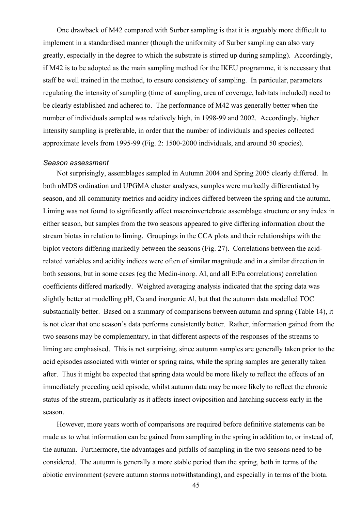One drawback of M42 compared with Surber sampling is that it is arguably more difficult to implement in a standardised manner (though the uniformity of Surber sampling can also vary greatly, especially in the degree to which the substrate is stirred up during sampling). Accordingly, if M42 is to be adopted as the main sampling method for the IKEU programme, it is necessary that staff be well trained in the method, to ensure consistency of sampling. In particular, parameters regulating the intensity of sampling (time of sampling, area of coverage, habitats included) need to be clearly established and adhered to. The performance of M42 was generally better when the number of individuals sampled was relatively high, in 1998-99 and 2002. Accordingly, higher intensity sampling is preferable, in order that the number of individuals and species collected approximate levels from 1995-99 (Fig. 2: 1500-2000 individuals, and around 50 species).

#### *Season assessment*

Not surprisingly, assemblages sampled in Autumn 2004 and Spring 2005 clearly differed. In both nMDS ordination and UPGMA cluster analyses, samples were markedly differentiated by season, and all community metrics and acidity indices differed between the spring and the autumn. Liming was not found to significantly affect macroinvertebrate assemblage structure or any index in either season, but samples from the two seasons appeared to give differing information about the stream biotas in relation to liming. Groupings in the CCA plots and their relationships with the biplot vectors differing markedly between the seasons (Fig. 27). Correlations between the acidrelated variables and acidity indices were often of similar magnitude and in a similar direction in both seasons, but in some cases (eg the Medin-inorg. Al, and all E:Pa correlations) correlation coefficients differed markedly. Weighted averaging analysis indicated that the spring data was slightly better at modelling pH, Ca and inorganic Al, but that the autumn data modelled TOC substantially better. Based on a summary of comparisons between autumn and spring (Table 14), it is not clear that one season's data performs consistently better. Rather, information gained from the two seasons may be complementary, in that different aspects of the responses of the streams to liming are emphasised. This is not surprising, since autumn samples are generally taken prior to the acid episodes associated with winter or spring rains, while the spring samples are generally taken after. Thus it might be expected that spring data would be more likely to reflect the effects of an immediately preceding acid episode, whilst autumn data may be more likely to reflect the chronic status of the stream, particularly as it affects insect oviposition and hatching success early in the season.

However, more years worth of comparisons are required before definitive statements can be made as to what information can be gained from sampling in the spring in addition to, or instead of, the autumn. Furthermore, the advantages and pitfalls of sampling in the two seasons need to be considered. The autumn is generally a more stable period than the spring, both in terms of the abiotic environment (severe autumn storms notwithstanding), and especially in terms of the biota.

45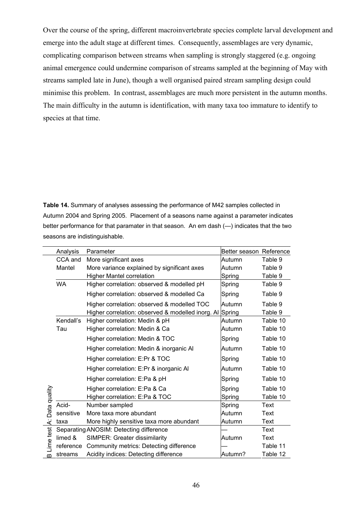Over the course of the spring, different macroinvertebrate species complete larval development and emerge into the adult stage at different times. Consequently, assemblages are very dynamic, complicating comparison between streams when sampling is strongly staggered (e.g. ongoing animal emergence could undermine comparison of streams sampled at the beginning of May with streams sampled late in June), though a well organised paired stream sampling design could minimise this problem. In contrast, assemblages are much more persistent in the autumn months. The main difficulty in the autumn is identification, with many taxa too immature to identify to species at that time.

**Table 14.** Summary of analyses assessing the performance of M42 samples collected in Autumn 2004 and Spring 2005. Placement of a seasons name against a parameter indicates better performance for that paramater in that season. An em dash (—) indicates that the two seasons are indistinguishable.

|              | Analysis  | Parameter                                                | Better season Reference |             |
|--------------|-----------|----------------------------------------------------------|-------------------------|-------------|
|              | CCA and   | More significant axes                                    | Autumn                  | Table 9     |
|              | Mantel    | More variance explained by significant axes              | Autumn                  | Table 9     |
|              |           | <b>Higher Mantel correlation</b>                         | Spring                  | Table 9     |
|              | <b>WA</b> | Higher correlation: observed & modelled pH               | Spring                  | Table 9     |
|              |           | Higher correlation: observed & modelled Ca               | Spring                  | Table 9     |
|              |           | Higher correlation: observed & modelled TOC              | Autumn                  | Table 9     |
|              |           | Higher correlation: observed & modelled inorg. Al Spring |                         | Table 9     |
|              | Kendall's | Higher correlation: Medin & pH                           | Autumn                  | Table 10    |
|              | Tau       | Higher correlation: Medin & Ca                           | Autumn                  | Table 10    |
|              |           | Higher correlation: Medin & TOC                          | Spring                  | Table 10    |
|              |           | Higher correlation: Medin & inorganic Al                 | Autumn                  | Table 10    |
|              |           | Higher correlation: E:Pr & TOC                           | Spring                  | Table 10    |
|              |           | Higher correlation: E:Pr & inorganic Al                  | Autumn                  | Table 10    |
|              |           | Higher correlation: E:Pa & pH                            | Spring                  | Table 10    |
|              |           | Higher correlation: E:Pa & Ca                            | Spring                  | Table 10    |
| Data quality |           | Higher correlation: E:Pa & TOC                           | Spring                  | Table 10    |
|              | Acid-     | Number sampled                                           | Spring                  | <b>Text</b> |
|              | sensitive | More taxa more abundant                                  | Autumn                  | Text        |
| <br>$\sim$   | taxa      | More highly sensitive taxa more abundant                 | Autumn                  | <b>Text</b> |
|              |           | Separating ANOSIM: Detecting difference                  |                         | Text        |
|              | limed &   | SIMPER: Greater dissimilarity                            | Autumn                  | Text        |
| -ime test    | reference | Community metrics: Detecting difference                  |                         | Table 11    |
| $\omega$     | streams   | Acidity indices: Detecting difference                    | Autumn?                 | Table 12    |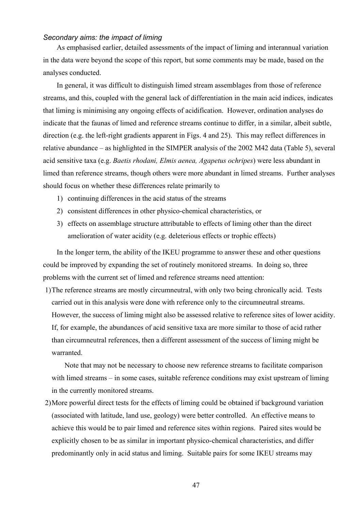#### *Secondary aims: the impact of liming*

As emphasised earlier, detailed assessments of the impact of liming and interannual variation in the data were beyond the scope of this report, but some comments may be made, based on the analyses conducted.

In general, it was difficult to distinguish limed stream assemblages from those of reference streams, and this, coupled with the general lack of differentiation in the main acid indices, indicates that liming is minimising any ongoing effects of acidification. However, ordination analyses do indicate that the faunas of limed and reference streams continue to differ, in a similar, albeit subtle, direction (e.g. the left-right gradients apparent in Figs. 4 and 25). This may reflect differences in relative abundance – as highlighted in the SIMPER analysis of the 2002 M42 data (Table 5), several acid sensitive taxa (e.g. *Baetis rhodani, Elmis aenea, Agapetus ochripes*) were less abundant in limed than reference streams, though others were more abundant in limed streams. Further analyses should focus on whether these differences relate primarily to

- 1) continuing differences in the acid status of the streams
- 2) consistent differences in other physico-chemical characteristics, or
- 3) effects on assemblage structure attributable to effects of liming other than the direct amelioration of water acidity (e.g. deleterious effects or trophic effects)

In the longer term, the ability of the IKEU programme to answer these and other questions could be improved by expanding the set of routinely monitored streams. In doing so, three problems with the current set of limed and reference streams need attention:

1)The reference streams are mostly circumneutral, with only two being chronically acid. Tests carried out in this analysis were done with reference only to the circumneutral streams. However, the success of liming might also be assessed relative to reference sites of lower acidity. If, for example, the abundances of acid sensitive taxa are more similar to those of acid rather than circumneutral references, then a different assessment of the success of liming might be warranted.

Note that may not be necessary to choose new reference streams to facilitate comparison with limed streams – in some cases, suitable reference conditions may exist upstream of liming in the currently monitored streams.

2)More powerful direct tests for the effects of liming could be obtained if background variation (associated with latitude, land use, geology) were better controlled. An effective means to achieve this would be to pair limed and reference sites within regions. Paired sites would be explicitly chosen to be as similar in important physico-chemical characteristics, and differ predominantly only in acid status and liming. Suitable pairs for some IKEU streams may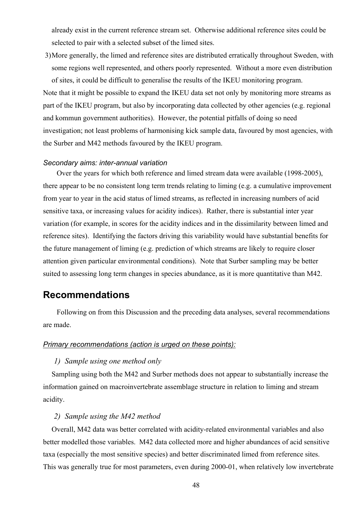already exist in the current reference stream set. Otherwise additional reference sites could be selected to pair with a selected subset of the limed sites.

3)More generally, the limed and reference sites are distributed erratically throughout Sweden, with some regions well represented, and others poorly represented. Without a more even distribution of sites, it could be difficult to generalise the results of the IKEU monitoring program.

Note that it might be possible to expand the IKEU data set not only by monitoring more streams as part of the IKEU program, but also by incorporating data collected by other agencies (e.g. regional and kommun government authorities). However, the potential pitfalls of doing so need investigation; not least problems of harmonising kick sample data, favoured by most agencies, with the Surber and M42 methods favoured by the IKEU program.

#### *Secondary aims: inter-annual variation*

Over the years for which both reference and limed stream data were available (1998-2005), there appear to be no consistent long term trends relating to liming (e.g. a cumulative improvement from year to year in the acid status of limed streams, as reflected in increasing numbers of acid sensitive taxa, or increasing values for acidity indices). Rather, there is substantial inter year variation (for example, in scores for the acidity indices and in the dissimilarity between limed and reference sites). Identifying the factors driving this variability would have substantial benefits for the future management of liming (e.g. prediction of which streams are likely to require closer attention given particular environmental conditions). Note that Surber sampling may be better suited to assessing long term changes in species abundance, as it is more quantitative than M42.

## **Recommendations**

Following on from this Discussion and the preceding data analyses, several recommendations are made.

#### *Primary recommendations (action is urged on these points):*

#### *1) Sample using one method only*

Sampling using both the M42 and Surber methods does not appear to substantially increase the information gained on macroinvertebrate assemblage structure in relation to liming and stream acidity.

#### *2) Sample using the M42 method*

Overall, M42 data was better correlated with acidity-related environmental variables and also better modelled those variables. M42 data collected more and higher abundances of acid sensitive taxa (especially the most sensitive species) and better discriminated limed from reference sites. This was generally true for most parameters, even during 2000-01, when relatively low invertebrate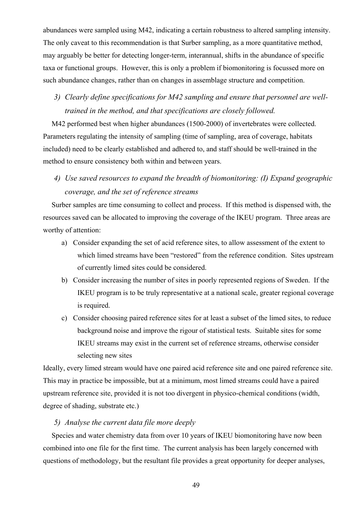abundances were sampled using M42, indicating a certain robustness to altered sampling intensity. The only caveat to this recommendation is that Surber sampling, as a more quantitative method, may arguably be better for detecting longer-term, interannual, shifts in the abundance of specific taxa or functional groups. However, this is only a problem if biomonitoring is focussed more on such abundance changes, rather than on changes in assemblage structure and competition.

*3) Clearly define specifications for M42 sampling and ensure that personnel are welltrained in the method, and that specifications are closely followed.* 

M42 performed best when higher abundances (1500-2000) of invertebrates were collected. Parameters regulating the intensity of sampling (time of sampling, area of coverage, habitats included) need to be clearly established and adhered to, and staff should be well-trained in the method to ensure consistency both within and between years.

*4) Use saved resources to expand the breadth of biomonitoring: (I) Expand geographic coverage, and the set of reference streams* 

Surber samples are time consuming to collect and process. If this method is dispensed with, the resources saved can be allocated to improving the coverage of the IKEU program. Three areas are worthy of attention:

- a) Consider expanding the set of acid reference sites, to allow assessment of the extent to which limed streams have been "restored" from the reference condition. Sites upstream of currently limed sites could be considered.
- b) Consider increasing the number of sites in poorly represented regions of Sweden. If the IKEU program is to be truly representative at a national scale, greater regional coverage is required.
- c) Consider choosing paired reference sites for at least a subset of the limed sites, to reduce background noise and improve the rigour of statistical tests. Suitable sites for some IKEU streams may exist in the current set of reference streams, otherwise consider selecting new sites

Ideally, every limed stream would have one paired acid reference site and one paired reference site. This may in practice be impossible, but at a minimum, most limed streams could have a paired upstream reference site, provided it is not too divergent in physico-chemical conditions (width, degree of shading, substrate etc.)

#### *5) Analyse the current data file more deeply*

Species and water chemistry data from over 10 years of IKEU biomonitoring have now been combined into one file for the first time. The current analysis has been largely concerned with questions of methodology, but the resultant file provides a great opportunity for deeper analyses,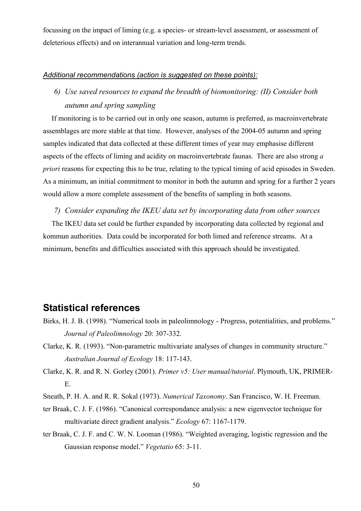focussing on the impact of liming (e.g. a species- or stream-level assessment, or assessment of deleterious effects) and on interannual variation and long-term trends.

#### *Additional recommendations (action is suggested on these points):*

*6) Use saved resources to expand the breadth of biomonitoring: (II) Consider both autumn and spring sampling* 

If monitoring is to be carried out in only one season, autumn is preferred, as macroinvertebrate assemblages are more stable at that time. However, analyses of the 2004-05 autumn and spring samples indicated that data collected at these different times of year may emphasise different aspects of the effects of liming and acidity on macroinvertebrate faunas. There are also strong *a priori* reasons for expecting this to be true, relating to the typical timing of acid episodes in Sweden. As a minimum, an initial commitment to monitor in both the autumn and spring for a further 2 years would allow a more complete assessment of the benefits of sampling in both seasons.

#### *7) Consider expanding the IKEU data set by incorporating data from other sources*

The IKEU data set could be further expanded by incorporating data collected by regional and kommun authorities. Data could be incorporated for both limed and reference streams. At a minimum, benefits and difficulties associated with this approach should be investigated.

### **Statistical references**

- Birks, H. J. B. (1998). "Numerical tools in paleolimnology Progress, potentialities, and problems." *Journal of Paleolimnology* 20: 307-332.
- Clarke, K. R. (1993). "Non-parametric multivariate analyses of changes in community structure." *Australian Journal of Ecology* 18: 117-143.
- Clarke, K. R. and R. N. Gorley (2001). *Primer v5: User manual/tutorial*. Plymouth, UK, PRIMER-E.
- Sneath, P. H. A. and R. R. Sokal (1973). *Numerical Taxonomy*. San Francisco, W. H. Freeman.
- ter Braak, C. J. F. (1986). "Canonical correspondance analysis: a new eigenvector technique for multivariate direct gradient analysis." *Ecology* 67: 1167-1179.
- ter Braak, C. J. F. and C. W. N. Looman (1986). "Weighted averaging, logistic regression and the Gaussian response model." *Vegetatio* 65: 3-11.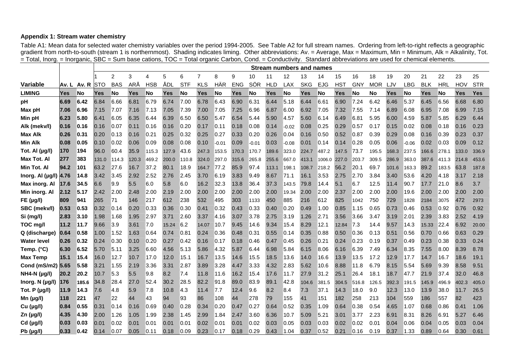#### **Appendix 1: Stream water chemistry**

Table A1: Mean data for selected water chemistry variables over the period 1994-2005. See Table A2 for full stream names. Ordering from left-to-right reflects a geographic gradient from north-to-south (stream 1 is northernmost). Shading indicates liming. Other abbreviations: Av. = Average, Max = Maximum, Min = Minimum, Alk = Alkalinity, Tot.  $=$  Total, Inorg. = Inorganic, SBC = Sum base cations, TOC = Total organic Carbon, Cond. = Conductivity. Standard abbreviations are used for chemical elements.

|                     |       |       |            | <b>Stream numbers and names</b> |       |            |       |            |                |         |            |         |            |            |            |            |                 |            |            |            |            |            |            |       |            |
|---------------------|-------|-------|------------|---------------------------------|-------|------------|-------|------------|----------------|---------|------------|---------|------------|------------|------------|------------|-----------------|------------|------------|------------|------------|------------|------------|-------|------------|
|                     |       |       |            | $\overline{c}$                  | 3     | 4          | 5     | 6          | $\overline{7}$ | 8       | 9          | 10      | 11         | 12         | 13         | 14         | 15              | 16         | 18         | 19         | 20         | 21         | 22         | 23    | 25         |
| <b>Variable</b>     | Av. L | Av. R | <b>STO</b> | <b>BAS</b>                      | ARÅ   | <b>HSB</b> | ÅDL   | <b>STF</b> | <b>KLS</b>     | HÄR     | <b>ENG</b> | SÖR     | <b>HLD</b> | <b>LAX</b> | <b>SKG</b> | <b>EJG</b> | HS <sub>1</sub> | <b>GNY</b> | <b>MOR</b> | LJV        | <b>LBG</b> | <b>BLK</b> | <b>HRL</b> | HOV   | <b>STR</b> |
| <b>LIMING</b>       | Yes   | No    | Yes        | No                              | Yes   | No         | Yes   | No         | Yes            | No      | Yes        | No      | Yes        | No         | Yes        | No         | Yes             | No         | No         | <b>Yes</b> | No         | Yes        | No         | Yes   | <b>Yes</b> |
| pH                  | 6.69  | 6.42  | 6.84       | 6.66                            | 6.81  | 6.79       | 6.74  | 7.00       | 6.78           | 6.43    | 6.90       | 6.31    | 6.44       | 5.18       | 6.44       | 6.61       | 6.90            | 7.24       | 6.42       | 6.46       | 5.37       | 6.45       | 6.56       | 6.68  | 6.80       |
| Max pH              | 7.06  | 6.96  | 7.15       | 7.07                            | 7.16  | 7.13       | 7.05  | 7.39       | 7.00           | 7.05    | 7.25       | 6.96    | 6.87       | 6.00       | 6.92       | 7.05       | 7.32            | 7.55       | 7.14       | 6.89       | 6.08       | 6.95       | 7.08       | 6.99  | 7.15       |
| Min pH              | 6.23  | 5.80  | 6.41       | 6.05                            | 6.35  | 6.44       | 6.39  | 6.50       | 6.50           | 5.47    | 6.54       | 5.44    | 5.90       | 4.57       | 5.60       | 6.14       | 6.49            | 6.81       | 5.95       | 6.00       | 4.59       | 5.87       | 5.85       | 6.29  | 6.44       |
| Alk (mekv/l)        | 0.16  | 0.16  | 0.16       | 0.07                            | 0.11  | 0.16       | 0.16  | 0.20       | 0.17           | 0.11    | 0.18       | 0.08    | 0.14       | -0.02      | 0.08       | 0.25       | 0.29            | 0.57       | 0.17       | 0.15       | 0.02       | 0.08       | 0.18       | 0.16  | 0.23       |
| <b>Max Alk</b>      | 0.26  | 0.31  | 0.20       | 0.13                            | 0.16  | 0.21       | 0.25  | 0.32       | 0.25           | 0.27    | 0.33       | 0.20    | 0.26       | 0.04       | 0.16       | 0.50       | 0.52            | 0.87       | 0.39       | 0.29       | 0.08       | 0.16       | 0.39       | 0.23  | 0.37       |
| <b>Min Alk</b>      | 0.08  | 0.05  | 0.10       | 0.02                            | 0.06  | 0.09       | 0.08  | 0.08       | 0.10           | $-0.01$ | 0.09       | $-0.01$ | 0.03       | $-0.08$    | 0.01       | 0.14       | 0.14            | 0.28       | 0.05       | 0.06       | $-0.06$    | 0.02       | 0.03       | 0.09  | 0.12       |
| Tot. Al (µg/l)      | 170   | 194   | 96.0       | 60.4                            | 35.9  | 115.3      | 127.9 | 43.6       | 247.3          | 153.5   | 170.3      | 170.7   | 189.6      | 323.0      | 224.7      | 487.2      | 147.5           | 73.7       | 195.5      | 168.3      | 237.5      | 166.6      | 278.1      | 133.0 | 336.9      |
| Max Tot. Al         | 277   | 383   | 131.0      | 114.3                           | 120.3 | 469.2      | 200.0 | 110.8      | 324.0          | 297.0   | 315.6      | 265.8   | 255.6      | 667.0      | 413.1      | 1006.0     | 227.0           | 203.7      | 309.5      | 286.9      | 363.0      | 387.6      | 411.3      | 214.8 | 453.6      |
| Min Tot. Al         | 94.2  | 101   | 63.2       | 27.6                            | 16.7  | 37.2       | 80.1  | 18.9       | 164.7          | 77.2    | 85.9       | 97.4    | 113.1      | 198.1      | 108.7      | 218.2      | 56.2            | 20.1       | 69.7       | 101.6      | 163.3      | 89.2       | 183.5      | 63.8  | 187.8      |
| Inorg. AI (µg/l)    | 4.76  | 14.8  | 3.42       | 3.45                            | 2.92  | 2.52       | 2.76  | 2.45       | 3.70           | 6.19    | 3.83       | 9.49    | 8.67       | 71.1       | 16.1       | 3.53       | 2.75            | 2.70       | 3.84       | 3.40       | 53.6       | 4.20       | 4.18       | 3.17  | 2.18       |
| Max inorg. Al       | 17.6  | 34.5  | 6.6        | 9.9                             | 5.5   | 6.0        | 5.8   | 6.0        | 16.2           | 32.3    | 13.8       | 36.4    | 37.3       | 143.5      | 79.8       | 14.4       | 5.1             | 6.7        | 12.5       | 11.4       | 90.7       | 17.7       | 21.0       | 8.6   | 3.7        |
| Min inorg. Al       | 2.12  | 5.17  | 2.42       | 2.00                            | 2.48  | 2.00       | 2.19  | 2.00       | 2.00           | 2.00    | 2.00       | 2.00    | 2.00       | 19.34      | 2.00       | 2.00       | 2.37            | 2.00       | 2.00       | 2.00       | 19.6       | 2.00       | 2.00       | 2.00  | 2.00       |
| FE (µg/l)           | 1809  | 941   | 265        | 71                              | 146   | 217        | 612   | 238        | 532            | 495     | 303        | 1133    | 450        | 885        | 216        | 612        | 825             | 1042       | 750        | 729        | 1828       | 2184       | 3075       | 472   | 2973       |
| SBC (mekv/l)        | 0.53  | 0.53  | 0.32       | 0.14                            | 0.20  | 0.33       | 0.36  | 0.30       | 0.41           | 0.32    | 0.43       | 0.33    | 0.40       | 0.20       | 0.49       | 1.00       | 0.85            | 1.15       | 0.65       | 0.73       | 0.46       | 0.53       | 0.92       | 0.76  | 0.92       |
| Si (mg/l)           | 2.83  | 3.10  | 1.98       | 1.68                            | 1.95  | 2.97       | 3.71  | 2.60       | 3.37           | 4.16    | 3.07       | 3.78    | 2.75       | 3.19       | 1.26       | 2.71       | 3.56            | 3.66       | 3.47       | 3.19       | 2.01       | 2.39       | 3.83       | 2.52  | 4.19       |
| TOC mg/l            | 11.2  | 11.7  | 9.66       | 3.9                             | 3.61  | 7.0        | 15.24 | 6.2        | 14.07          | 10.7    | 9.45       | 14.6    | 9.34       | 15.4       | 8.29       | 12.1       | 12.84           | 7.3        | 14.4       | 9.57       | 14.3       | 15.33      | 22.4       | 6.92  | 20.00      |
| Q (discharge)       | 0.64  | 0.58  | 1.00       | 1.52                            | 1.63  | 0.64       | 0.74  | 0.81       | 0.24           | 0.36    | 0.48       | 0.31    | 0.55       | 0.14       | 0.35       | 0.88       | 0.50            | 0.36       | 0.13       | 0.51       | 0.56       | 0.70       | 0.66       | 0.63  | 0.29       |
| <b>Water level</b>  | 0.26  | 0.32  | 0.24       | 0.30                            | 0.10  | 0.20       | 0.27  | 0.42       | 0.16           | 0.17    | 0.18       | 0.46    | 0.47       | 0.45       | 0.26       | 0.21       | 0.24            | 0.23       | 0.19       | 0.37       | 0.49       | 0.23       | 0.38       | 0.33  | 0.24       |
| Temp. (°C)          | 6.30  | 6.52  | 5.70       | 5.11                            | 3.25  | 6.60       | 4.56  | 5.13       | 5.86           | 4.32    | 5.87       | 6.44    | 6.98       | 5.84       | 6.15       | 8.06       | 6.16            | 6.39       | 7.49       | 6.34       | 8.35       | 7.55       | 8.00       | 8.39  | 8.78       |
| <b>Max Temp</b>     | 15.1  | 15.4  | 16.0       | 12.7                            | 10.7  | 17.0       | 12.0  | 15.1       | 16.7           | 13.5    | 14.6       | 15.5    | 18.5       | 13.6       | 14.0       | 16.6       | 13.9            | 13.5       | 17.2       | 12.9       | 17.7       | 14.7       | 16.7       | 18.6  | 19.1       |
| Cond (mS/m2) 5.65   |       | 5.58  | 3.21       | 1.55                            | 2.19  | 3.36       | 3.31  | 2.87       | 3.89           | 3.28    | 4.47       | 3.33    | 4.32       | 2.83       | 5.62       | 10.6       | 8.88            | 11.8       | 6.79       | 8.15       | 5.54       | 5.69       | 9.39       | 8.58  | 9.51       |
| <b>NH4-N (µg/l)</b> | 20.2  | 20.2  | 10.7       | 5.3                             | 5.5   | 9.8        | 8.2   | 7.4        | 11.8           | 11.6    | 16.2       | 15.4    | 17.6       | 11.7       | 27.9       | 31.2       | 25.1            | 26.4       | 18.1       | 18.7       | 47.7       | 21.9       | 37.4       | 32.0  | 46.8       |
| Inorg. N (µg/l)     | 176   | 185.6 | 34.8       | 28.4                            | 27.0  | 52.4       | 30.2  | 28.5       | 82.2           | 91.8    | 89.0       | 83.9    | 89.1       | 42.8       | 104.6      | 381.5      | 304.5           | 516.8      | 126.5      | 392.3      | 191.5      | 145.9      | 496.9      | 402.3 | 405.0      |
| Tot. P (µg/l)       | 11.9  | 14.3  | 7.6        | 4.8                             | 5.9   | 7.8        | 10.8  | 4.3        | 11.4           | 7.7     | 12.4       | 9.6     | 8.2        | 8.4        | 7.3        | 37.1       | 14.3            | 18.0       | 9.0        | 12.3       | 13.0       | 13.9       | 38.0       | 11.7  | 26.5       |
| Mn $(\mu g/l)$      | 118   | 221   | 47         | 22                              | 44    | 43         | 94    | 93         | 86             | 108     | 44         | 278     | 79         | 155        | 41         | 151        | 182             | 258        | 213        | 104        | 559        | 186        | 557        | 82    | 423        |
| Cu (µg/l)           | 0.84  | 0.55  | 0.31       | 0.14                            | 0.16  | 0.69       | 0.40  | 0.28       | 0.34           | 0.20    | 0.47       | 0.27    | 0.64       | 0.52       | 0.35       | 1.09       | 0.64            | 0.38       | 0.54       | 4.65       | 1.07       | 0.68       | 0.86       | 0.41  | 1.06       |
| $Zn$ (µg/l)         | 4.35  | 4.30  | 2.00       | 1.26                            | 1.05  | 1.99       | 2.38  | 1.45       | 2.99           | 1.84    | 2.47       | 3.60    | 6.36       | 10.7       | 5.09       | 5.21       | 3.01            | 3.77       | 2.23       | 6.91       | 8.31       | 8.26       | 6.91       | 5.27  | 6.46       |
| $Cd$ (µg/l)         | 0.03  | 0.03  | 0.01       | 0.02                            | 0.01  | 0.01       | 0.01  | 0.01       | 0.02           | 0.01    | 0.01       | 0.02    | 0.03       | 0.05       | 0.03       | 0.03       | 0.02            | 0.02       | 0.01       | 0.04       | 0.06       | 0.04       | 0.05       | 0.03  | 0.04       |
| Pb (µg/l)           | 0.33  | 0.42  | 0.14       | 0.07                            | 0.05  | 0.11       | 0.18  | 0.09       | 0.23           | 0.17    | 0.18       | 0.29    | 0.43       | 1.04       | 0.37       | 0.52       | 0.21            | 0.16       | 0.19       | 0.37       | 1.33       | 0.89       | 0.64       | 0.30  | 0.61       |